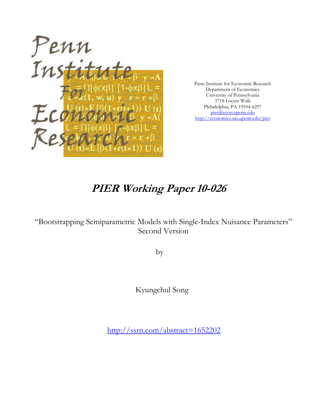

Penn Institute for Economic Research Department of Economics University of Pennsylvania 3718 Locust Walk Philadelphia, PA 19104-6297 pier@econ.upenn.edu http://economics.sas.upenn.edu/pier

# **PIER Working Paper 10-026**

"Bootstrapping Semiparametric Models with Single-Index Nuisance Parameters" Second Version

by

Kyungchul Song

http://ssrn.com/abstract=1652202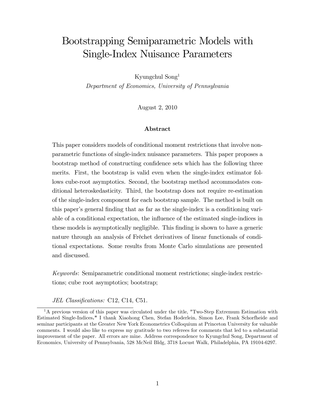## Bootstrapping Semiparametric Models with Single-Index Nuisance Parameters

Kyungchul Song<sup>1</sup>

Department of Economics, University of Pennsylvania

August 2, 2010

#### Abstract

This paper considers models of conditional moment restrictions that involve nonparametric functions of single-index nuisance parameters. This paper proposes a bootstrap method of constructing confidence sets which has the following three merits. First, the bootstrap is valid even when the single-index estimator follows cube-root asymptotics. Second, the bootstrap method accommodates conditional heteroskedasticity. Third, the bootstrap does not require re-estimation of the single-index component for each bootstrap sample. The method is built on this paper's general finding that as far as the single-index is a conditioning variable of a conditional expectation, the ináuence of the estimated single-indices in these models is asymptotically negligible. This finding is shown to have a generic nature through an analysis of Fréchet derivatives of linear functionals of conditional expectations. Some results from Monte Carlo simulations are presented and discussed.

Keywords: Semiparametric conditional moment restrictions; single-index restrictions; cube root asymptotics; bootstrap;

JEL Classifications: C12, C14, C51.

 $1<sup>1</sup>$ A previous version of this paper was circulated under the title, "Two-Step Extremum Estimation with Estimated Single-Indices." I thank Xiaohong Chen, Stefan Hoderlein, Simon Lee, Frank Schorfheide and seminar participants at the Greater New York Econometrics Colloquium at Princeton University for valuable comments. I would also like to express my gratitude to two referees for comments that led to a substantial improvement of the paper. All errors are mine. Address correspondence to Kyungchul Song, Department of Economics, University of Pennsylvania, 528 McNeil Bldg, 3718 Locust Walk, Philadelphia, PA 19104-6297.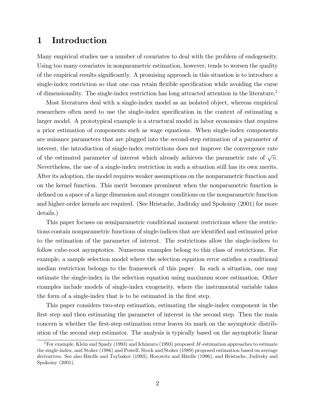## 1 Introduction

Many empirical studies use a number of covariates to deal with the problem of endogeneity. Using too many covariates in nonparametric estimation, however, tends to worsen the quality of the empirical results signiÖcantly. A promising approach in this situation is to introduce a single-index restriction so that one can retain flexible specification while avoiding the curse of dimensionality. The single-index restriction has long attracted attention in the literature.<sup>2</sup>

Most literatures deal with a single-index model as an isolated object, whereas empirical researchers often need to use the single-index specification in the context of estimating a larger model. A prototypical example is a structural model in labor economics that requires a prior estimation of components such as wage equations. When single-index components are nuisance parameters that are plugged into the second-step estimation of a parameter of interest, the introduction of single-index restrictions does not improve the convergence rate of the estimated parameter of interest which already achieves the parametric rate of  $\sqrt{n}$ . Nevertheless, the use of a single-index restriction in such a situation still has its own merits. After its adoption, the model requires weaker assumptions on the nonparametric function and on the kernel function. This merit becomes prominent when the nonparametric function is defined on a space of a large dimension and stronger conditions on the nonparametric function and higher-order kernels are required. (See Hristache, Juditsky and Spokoiny (2001) for more details.)

This paper focuses on semiparametric conditional moment restrictions where the restrictions contain nonparametric functions of single-indices that are identified and estimated prior to the estimation of the parameter of interest. The restrictions allow the single-indices to follow cube-root asymptotics. Numerous examples belong to this class of restrictions. For example, a sample selection model where the selection equation error satisfies a conditional median restriction belongs to the framework of this paper. In such a situation, one may estimate the single-index in the selection equation using maximum score estimation. Other examples include models of single-index exogeneity, where the instrumental variable takes the form of a single-index that is to be estimated in the first step.

This paper considers two-step estimation, estimating the single-index component in the first step and then estimating the parameter of interest in the second step. Then the main concern is whether the Örst-step estimation error leaves its mark on the asymptotic distribution of the second step estimator. The analysis is typically based on the asymptotic linear

<sup>&</sup>lt;sup>2</sup>For example, Klein and Spady (1993) and Ichimura (1993) proposed M-estimation approaches to estimate the single-index, and Stoker (1986) and Powell, Stock and Stoker (1989) proposed estimation based on average derivatives. See also Härdle and Tsybakov (1993), Horowitz and Härdle (1996), and Hristache, Juditsky and Spokoiny (2001).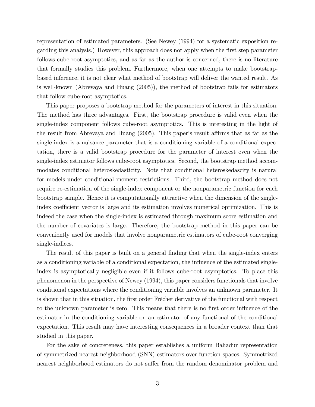representation of estimated parameters. (See Newey (1994) for a systematic exposition regarding this analysis.) However, this approach does not apply when the Örst step parameter follows cube-root asymptotics, and as far as the author is concerned, there is no literature that formally studies this problem. Furthermore, when one attempts to make bootstrapbased inference, it is not clear what method of bootstrap will deliver the wanted result. As is well-known (Abrevaya and Huang (2005)), the method of bootstrap fails for estimators that follow cube-root asymptotics.

This paper proposes a bootstrap method for the parameters of interest in this situation. The method has three advantages. First, the bootstrap procedure is valid even when the single-index component follows cube-root asymptotics. This is interesting in the light of the result from Abrevaya and Huang  $(2005)$ . This paper's result affirms that as far as the single-index is a nuisance parameter that is a conditioning variable of a conditional expectation, there is a valid bootstrap procedure for the parameter of interest even when the single-index estimator follows cube-root asymptotics. Second, the bootstrap method accommodates conditional heteroskedasticity. Note that conditional heteroskedascity is natural for models under conditional moment restrictions. Third, the bootstrap method does not require re-estimation of the single-index component or the nonparametric function for each bootstrap sample. Hence it is computationally attractive when the dimension of the singleindex coefficient vector is large and its estimation involves numerical optimization. This is indeed the case when the single-index is estimated through maximum score estimation and the number of covariates is large. Therefore, the bootstrap method in this paper can be conveniently used for models that involve nonparametric estimators of cube-root converging single-indices.

The result of this paper is built on a general finding that when the single-index enters as a conditioning variable of a conditional expectation, the influence of the estimated singleindex is asymptotically negligible even if it follows cube-root asymptotics. To place this phenomenon in the perspective of Newey (1994), this paper considers functionals that involve conditional expectations where the conditioning variable involves an unknown parameter. It is shown that in this situation, the first order Fréchet derivative of the functional with respect to the unknown parameter is zero. This means that there is no first order influence of the estimator in the conditioning variable on an estimator of any functional of the conditional expectation. This result may have interesting consequences in a broader context than that studied in this paper.

For the sake of concreteness, this paper establishes a uniform Bahadur representation of symmetrized nearest neighborhood (SNN) estimators over function spaces. Symmetrized nearest neighborhood estimators do not suffer from the random denominator problem and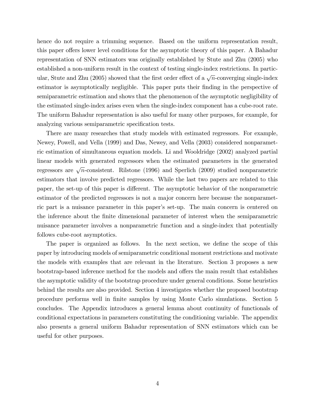hence do not require a trimming sequence. Based on the uniform representation result, this paper offers lower level conditions for the asymptotic theory of this paper. A Bahadur representation of SNN estimators was originally established by Stute and Zhu (2005) who established a non-uniform result in the context of testing single-index restrictions. In particular, Stute and Zhu (2005) showed that the first order effect of a  $\sqrt{n}$ -converging single-index estimator is asymptotically negligible. This paper puts their finding in the perspective of semiparametric estimation and shows that the phenomenon of the asymptotic negligibility of the estimated single-index arises even when the single-index component has a cube-root rate. The uniform Bahadur representation is also useful for many other purposes, for example, for analyzing various semiparametric specification tests.

There are many researches that study models with estimated regressors. For example, Newey, Powell, and Vella (1999) and Das, Newey, and Vella (2003) considered nonparametric estimation of simultaneous equation models. Li and Wooldridge (2002) analyzed partial linear models with generated regressors when the estimated parameters in the generated regressors are  $\sqrt{n}$ -consistent. Rilstone (1996) and Sperlich (2009) studied nonparametric estimators that involve predicted regressors. While the last two papers are related to this paper, the set-up of this paper is different. The asymptotic behavior of the nonparametric estimator of the predicted regressors is not a major concern here because the nonparametric part is a nuisance parameter in this paper's set-up. The main concern is centered on the inference about the finite dimensional parameter of interest when the semiparametric nuisance parameter involves a nonparametric function and a single-index that potentially follows cube-root asymptotics.

The paper is organized as follows. In the next section, we define the scope of this paper by introducing models of semiparametric conditional moment restrictions and motivate the models with examples that are relevant in the literature. Section 3 proposes a new bootstrap-based inference method for the models and offers the main result that establishes the asymptotic validity of the bootstrap procedure under general conditions. Some heuristics behind the results are also provided. Section 4 investigates whether the proposed bootstrap procedure performs well in Önite samples by using Monte Carlo simulations. Section 5 concludes. The Appendix introduces a general lemma about continuity of functionals of conditional expectations in parameters constituting the conditioning variable. The appendix also presents a general uniform Bahadur representation of SNN estimators which can be useful for other purposes.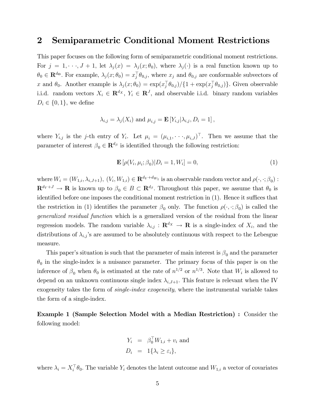### 2 Semiparametric Conditional Moment Restrictions

This paper focuses on the following form of semiparametric conditional moment restrictions. For  $j = 1, \dots, J + 1$ , let  $\lambda_j(x) = \lambda_j(x; \theta_0)$ , where  $\lambda_j(\cdot)$  is a real function known up to  $\theta_0 \in \mathbf{R}^{d_{\Theta}}$ . For example,  $\lambda_j(x; \theta_0) = x_j^{\top} \theta_{0,j}$ , where  $x_j$  and  $\theta_{0,j}$  are conformable subvectors of x and  $\theta_0$ . Another example is  $\lambda_j (x; \theta_0) = \exp(x_j^{\dagger} \theta_{0,j}) / \{1 + \exp(x_j^{\dagger} \theta_{0,j})\}$ . Given observable i.i.d. random vectors  $X_i \in \mathbb{R}^{d_X}$ ,  $Y_i \in \mathbb{R}^{J}$ , and observable i.i.d. binary random variables  $D_i \in \{0, 1\}$ , we define

$$
\lambda_{i,j} = \lambda_j(X_i) \text{ and } \mu_{i,j} = \mathbf{E}\left[Y_{i,j} | \lambda_{i,j}, D_i = 1\right],
$$

where  $Y_{i,j}$  is the j-th entry of  $Y_i$ . Let  $\mu_i = (\mu_{i,1}, \dots, \mu_{i,J})^{\perp}$ . Then we assume that the parameter of interest  $\beta_0 \in \mathbf{R}^{d_\beta}$  is identified through the following restriction:

$$
\mathbf{E}\left[\rho(V_i, \mu_i; \beta_0)|D_i = 1, W_i\right] = 0,\tag{1}
$$

where  $W_i = (W_{1,i}, \lambda_{i,J+1}), (V_i, W_{1,i}) \in \mathbf{R}^{d_V + d_{W_1}}$  is an observable random vector and  $\rho(\cdot, \cdot; \beta_0)$ :  $\mathbf{R}^{d_V+J} \to \mathbf{R}$  is known up to  $\beta_0 \in B \subset \mathbf{R}^{d_{\beta}}$ . Throughout this paper, we assume that  $\theta_0$  is identified before one imposes the conditional moment restriction in  $(1)$ . Hence it suffices that the restriction in (1) identifies the parameter  $\beta_0$  only. The function  $\rho(\cdot, \cdot; \beta_0)$  is called the generalized residual function which is a generalized version of the residual from the linear regression models. The random variable  $\lambda_{i,j} : \mathbf{R}^{d_X} \to \mathbf{R}$  is a single-index of  $X_i$ , and the distributions of  $\lambda_{i,j}$ 's are assumed to be absolutely continuous with respect to the Lebesgue measure.

This paper's situation is such that the parameter of main interest is  $\beta_0$  and the parameter  $\theta_0$  in the single-index is a nuisance parameter. The primary focus of this paper is on the inference of  $\beta_0$  when  $\theta_0$  is estimated at the rate of  $n^{1/2}$  or  $n^{1/3}$ . Note that  $W_i$  is allowed to depend on an unknown continuous single index  $\lambda_{i,J+1}$ . This feature is relevant when the IV exogeneity takes the form of *single-index exogeneity*, where the instrumental variable takes the form of a single-index.

Example 1 (Sample Selection Model with a Median Restriction) : Consider the following model:

$$
Y_i = \beta_0^{\top} W_{1,i} + v_i \text{ and}
$$
  

$$
D_i = 1\{\lambda_i \ge \varepsilon_i\},
$$

where  $\lambda_i = X_i^{\dagger} \theta_0$ . The variable  $Y_i$  denotes the latent outcome and  $W_{1,i}$  a vector of covariates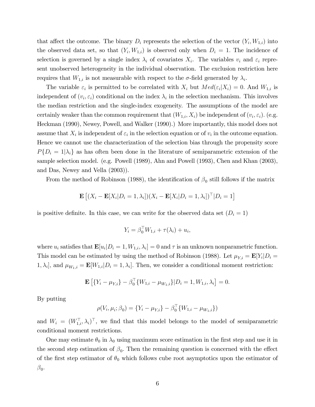that affect the outcome. The binary  $D_i$  represents the selection of the vector  $(Y_i, W_{1,i})$  into the observed data set, so that  $(Y_i, W_{1,i})$  is observed only when  $D_i = 1$ . The incidence of selection is governed by a single index  $\lambda_i$  of covariates  $X_i$ . The variables  $v_i$  and  $\varepsilon_i$  represent unobserved heterogeneity in the individual observation. The exclusion restriction here requires that  $W_{1,i}$  is not measurable with respect to the  $\sigma$ -field generated by  $\lambda_i$ .

The variable  $\varepsilon_i$  is permitted to be correlated with  $X_i$  but  $Med(\varepsilon_i | X_i) = 0$ . And  $W_{1,i}$  is independent of  $(v_i, \varepsilon_i)$  conditional on the index  $\lambda_i$  in the selection mechanism. This involves the median restriction and the single-index exogeneity. The assumptions of the model are certainly weaker than the common requirement that  $(W_{1,i}, X_i)$  be independent of  $(v_i, \varepsilon_i)$ . (e.g. Heckman (1990), Newey, Powell, and Walker (1990).) More importantly, this model does not assume that  $X_i$  is independent of  $\varepsilon_i$  in the selection equation or of  $v_i$  in the outcome equation. Hence we cannot use the characterization of the selection bias through the propensity score  $P\{D_i = 1 | \lambda_i\}$  as has often been done in the literature of semiparametric extension of the sample selection model. (e.g. Powell (1989), Ahn and Powell (1993), Chen and Khan (2003), and Das, Newey and Vella (2003)).

From the method of Robinson (1988), the identification of  $\beta_0$  still follows if the matrix

$$
\mathbf{E}\left[ (X_i - \mathbf{E}[X_i | D_i = 1, \lambda_i])(X_i - \mathbf{E}[X_i | D_i = 1, \lambda_i])^\top | D_i = 1 \right]
$$

is positive definite. In this case, we can write for the observed data set  $(D_i = 1)$ 

$$
Y_i = \beta_0^\top W_{1,i} + \tau(\lambda_i) + u_i,
$$

where  $u_i$  satisfies that  $\mathbf{E}[u_i|D_i=1, W_{1,i}, \lambda_i]=0$  and  $\tau$  is an unknown nonparametric function. This model can be estimated by using the method of Robinson (1988). Let  $\mu_{Y,i} = \mathbf{E}[Y_i | D_i =$  $[1, \lambda_i]$ , and  $\mu_{W_1,i} = \mathbf{E}[W_{1,i}|D_i = 1, \lambda_i]$ . Then, we consider a conditional moment restriction:

$$
\mathbf{E}\left[\{Y_i - \mu_{Y,i}\} - \beta_0^\top \{W_{1,i} - \mu_{W_1,i}\} | D_i = 1, W_{1,i}, \lambda_i\right] = 0.
$$

By putting

$$
\rho(V_i, \mu_i; \beta_0) = \{Y_i - \mu_{Y,i}\} - \beta_0^\top \{W_{1,i} - \mu_{W_1,i}\}\
$$

and  $W_i = (W_{1,i}^{\perp}, \lambda_i)^{\perp}$ , we find that this model belongs to the model of semiparametric conditional moment restrictions.

One may estimate  $\theta_0$  in  $\lambda_0$  using maximum score estimation in the first step and use it in the second step estimation of  $\beta_0$ . Then the remaining question is concerned with the effect of the first step estimator of  $\theta_0$  which follows cube root asymptotics upon the estimator of  $\beta_0$ .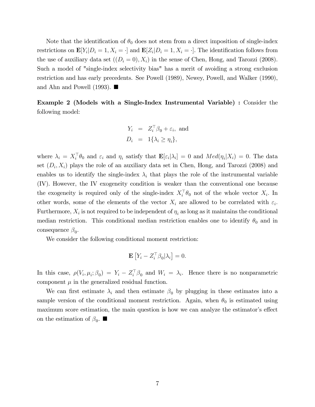Note that the identification of  $\theta_0$  does not stem from a direct imposition of single-index restrictions on  $\mathbf{E}[Y_i|D_i=1, X_i=\cdot]$  and  $\mathbf{E}[Z_i|D_i=1, X_i=\cdot]$ . The identification follows from the use of auxiliary data set  $((D_i = 0), X_i)$  in the sense of Chen, Hong, and Tarozzi (2008). Such a model of "single-index selectivity bias" has a merit of avoiding a strong exclusion restriction and has early precedents. See Powell (1989), Newey, Powell, and Walker (1990), and Ahn and Powell (1993).  $\blacksquare$ 

Example 2 (Models with a Single-Index Instrumental Variable) : Consider the following model:

$$
Y_i = Z_i^{\top} \beta_0 + \varepsilon_i, \text{ and}
$$
  

$$
D_i = 1\{\lambda_i \ge \eta_i\},
$$

where  $\lambda_i = X_i^{\dagger} \theta_0$  and  $\varepsilon_i$  and  $\eta_i$  satisfy that  $\mathbf{E}[\varepsilon_i | \lambda_i] = 0$  and  $Med(\eta_i | X_i) = 0$ . The data set  $(D_i, X_i)$  plays the role of an auxiliary data set in Chen, Hong, and Tarozzi (2008) and enables us to identify the single-index  $\lambda_i$  that plays the role of the instrumental variable (IV). However, the IV exogeneity condition is weaker than the conventional one because the exogeneity is required only of the single-index  $X_i^{\dagger} \theta_0$  not of the whole vector  $X_i$ . In other words, some of the elements of the vector  $X_i$  are allowed to be correlated with  $\varepsilon_i$ . Furthermore,  $X_i$  is not required to be independent of  $\eta_i$  as long as it maintains the conditional median restriction. This conditional median restriction enables one to identify  $\theta_0$  and in consequence  $\beta_0$ .

We consider the following conditional moment restriction:

$$
\mathbf{E}\left[Y_i - Z_i^\top \beta_0 | \lambda_i\right] = 0.
$$

In this case,  $\rho(V_i, \mu_i; \beta_0) = Y_i - Z_i^{\dagger} \beta_0$  and  $W_i = \lambda_i$ . Hence there is no nonparametric component  $\mu$  in the generalized residual function.

We can first estimate  $\lambda_i$  and then estimate  $\beta_0$  by plugging in these estimates into a sample version of the conditional moment restriction. Again, when  $\theta_0$  is estimated using maximum score estimation, the main question is how we can analyze the estimator's effect on the estimation of  $\beta_0$ .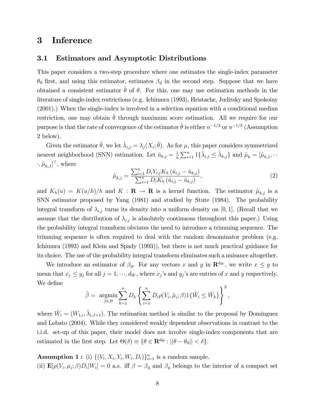## 3 Inference

#### 3.1 Estimators and Asymptotic Distributions

This paper considers a two-step procedure where one estimates the single-index parameter  $\theta_0$  first, and using this estimator, estimates  $\beta_0$  in the second step. Suppose that we have obtained a consistent estimator  $\hat{\theta}$  of  $\theta$ . For this, one may use estimation methods in the literature of single-index restrictions (e.g. Ichimura (1993), Hristache, Juditsky and Spokoiny (2001).) When the single-index is involved in a selection equation with a conditional median restriction, one may obtain  $\hat{\theta}$  through maximum score estimation. All we require for our purpose is that the rate of convergence of the estimator  $\hat{\theta}$  is either  $n^{-1/2}$  or  $n^{-1/3}$  (Assumption 2 below).

Given the estimator  $\hat{\theta}$ , we let  $\hat{\lambda}_{i,j} = \lambda_j (X_i; \hat{\theta})$ . As for  $\mu$ , this paper considers symmetrized nearest neighborhood (SNN) estimation. Let  $\hat{u}_{k,j} = \frac{1}{n}$  $\frac{1}{n} \sum_{i=1}^{n} 1 \{ \hat{\lambda}_{i,j} \leq \hat{\lambda}_{k,j} \}$  and  $\hat{\mu}_k = [\hat{\mu}_{k,1}, \dots]$  $\cdot, \hat{\mu}_{k,J}]^{\top}$ , where

$$
\hat{\mu}_{k,j} = \frac{\sum_{i=1}^{n} D_i Y_{i,j} K_h (\hat{u}_{i,j} - \hat{u}_{k,j})}{\sum_{i=1}^{n} D_i K_h (\hat{u}_{i,j} - \hat{u}_{k,j})},
$$
\n(2)

and  $K_h(u) = K(u/h)/h$  and  $K : \mathbf{R} \to \mathbf{R}$  is a kernel function. The estimator  $\hat{\mu}_{k,j}$  is a SNN estimator proposed by Yang (1981) and studied by Stute (1984). The probability integral transform of  $\lambda_{i,j}$  turns its density into a uniform density on [0,1]. (Recall that we assume that the distribution of  $\lambda_{i,j}$  is absolutely continuous throughout this paper.) Using the probability integral transform obviates the need to introduce a trimming sequence. The trimming sequence is often required to deal with the random denominator problem (e.g. Ichimura (1993) and Klein and Spady (1993)), but there is not much practical guidance for its choice. The use of the probability integral transform eliminates such a nuisance altogether.

We introduce an estimator of  $\beta_0$ . For any vectors x and y in  $\mathbf{R}^{d_W}$ , we write  $x \leq y$  to mean that  $x_j \le y_j$  for all  $j = 1, \dots, d_W$ , where  $x_j$ 's and  $y_j$ 's are entries of x and y respectively. We define

$$
\hat{\beta} = \underset{\beta \in B}{\text{argmin}} \sum_{k=1}^{n} D_k \left\{ \sum_{i=1}^{n} D_i \rho(V_i, \hat{\mu}_i; \beta) 1 \{ \hat{W}_i \le \hat{W}_k \} \right\}^2,
$$

where  $\hat{W}_i = (W_{1,i}, \hat{\lambda}_{i,J+1})$ . The estimation method is similar to the proposal by Domínguez and Lobato (2004). While they considered weakly dependent observations in contrast to the i.i.d. set-up of this paper, their model does not involve single-index components that are estimated in the first step. Let  $\Theta(\delta) \equiv \{ \theta \in \mathbf{R}^{d_{\Theta}} : ||\theta - \theta_0|| < \delta \}.$ 

**Assumption 1:** (i)  $\{(V_i, X_i, Y_i, W_i, D_i)\}_{i=1}^n$  is a random sample. (ii)  $\mathbf{E}[\rho(V_i, \mu_i; \beta)D_i|W_i] = 0$  a.s. iff  $\beta = \beta_0$  and  $\beta_0$  belongs to the interior of a compact set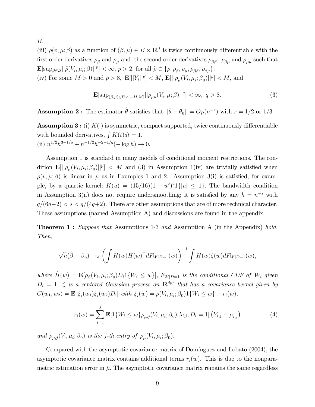B.

(iii)  $\rho(v, \mu; \beta)$  as a function of  $(\beta, \mu) \in B \times \mathbb{R}^J$  is twice continuously differentiable with the first order derivatives  $\rho_{\beta}$  and  $\rho_{\mu}$  and the second order derivatives  $\rho_{\beta\beta}$ ,  $\rho_{\beta\mu}$  and  $\rho_{\mu\mu}$  such that  $\mathbf{E}[\sup_{\beta \in B} || \tilde{\rho}(V_i, \mu_i; \beta)||^p] < \infty, p > 2$ , for all  $\tilde{\rho} \in \{\rho, \rho_\beta, \rho_\mu, \rho_{\beta\beta}, \rho_{\beta\mu}\}.$ (iv) For some  $M > 0$  and  $p > 8$ ,  $\mathbf{E}[||Y_i||^p] < M$ ,  $\mathbf{E}[||\rho_\mu(V_i, \mu_i; \beta_0)||^p] < M$ , and

$$
\mathbf{E}[\sup_{(\beta,\bar{\mu})\in B\times[-M,M]}||\rho_{\mu\mu}(V_i,\bar{\mu};\beta)||^q] < \infty, \ q > 8.
$$
 (3)

**Assumption 2:** The estimator  $\hat{\theta}$  satisfies that  $||\hat{\theta} - \theta_0|| = O_P (n^{-r})$  with  $r = 1/2$  or  $1/3$ .

**Assumption 3:** (i)  $K(\cdot)$  is symmetric, compact supported, twice continuously differentiable with bounded derivatives,  $\int K(t)dt = 1$ . (ii)  $n^{1/2}h^{3-1/q} + n^{-1/2}h^{-2-1/q}(-\log h) \to 0.$ 

Assumption 1 is standard in many models of conditional moment restrictions. The condition  $\mathbf{E}[||\rho_\mu(V_i,\mu_i;\beta_0)||^p] < M$  and (3) in Assumption 1(iv) are trivially satisfied when  $\rho(v, \mu; \beta)$  is linear in  $\mu$  as in Examples 1 and 2. Assumption 3(i) is satisfied, for example, by a quartic kernel:  $K(u) = (15/16)(1 - u^2)^2 1\{|u| \leq 1\}$ . The bandwidth condition in Assumption 3(ii) does not require undersmoothing; it is satisfied by any  $h = n^{-s}$  with  $q/(6q-2) < s < q/(4q+2)$ . There are other assumptions that are of more technical character. These assumptions (named Assumption A) and discussions are found in the appendix.

**Theorem 1:** Suppose that Assumptions 1-3 and Assumption A (in the Appendix) hold. Then,

$$
\sqrt{n}(\hat{\beta}-\beta_0) \rightarrow_d \left(\int \dot{H}(w) \dot{H}(w)^\top dF_{W|D=1}(w)\right)^{-1} \int \dot{H}(w) \zeta(w) dF_{W|D=1}(w),
$$

where  $H(w) = \mathbf{E}[\rho_\beta(V_i, \mu_i; \beta_0) D_i 1\{W_i \leq w\}]$ ,  $F_{W|D=1}$  is the conditional CDF of  $W_i$  given  $D_i = 1, \zeta$  is a centered Gaussian process on  $\mathbb{R}^{d_W}$  that has a covariance kernel given by  $C(w_1, w_2) = \mathbf{E} [\xi_i(w_1)\xi_i(w_2)D_i]$  with  $\xi_i(w) = \rho(V_i, \mu_i; \beta_0)1\{W_i \le w\} - r_i(w)$ ,

$$
r_i(w) = \sum_{j=1}^{J} \mathbf{E}[1\{W_i \le w\} \rho_{\mu,j}(V_i, \mu_i; \beta_0) | \lambda_{i,j}, D_i = 1] (Y_{i,j} - \mu_{i,j})
$$
(4)

and  $\rho_{\mu,j}(V_i, \mu_i; \beta_0)$  is the j-th entry of  $\rho_\mu(V_i, \mu_i; \beta_0)$ .

Compared with the asymptotic covariance matrix of Domínguez and Lobato (2004), the asymptotic covariance matrix contains additional terms  $r_i(w)$ . This is due to the nonparametric estimation error in  $\hat{\mu}$ . The asymptotic covariance matrix remains the same regardless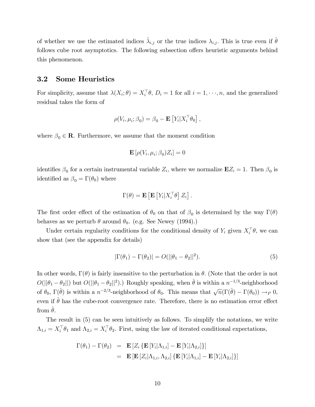of whether we use the estimated indices  $\hat{\lambda}_{i,j}$  or the true indices  $\lambda_{i,j}$ . This is true even if  $\hat{\theta}$ follows cube root asymptotics. The following subsection offers heuristic arguments behind this phenomenon.

#### 3.2 Some Heuristics

For simplicity, assume that  $\lambda(X_i; \theta) = X_i^{\dagger} \theta$ ,  $D_i = 1$  for all  $i = 1, \dots, n$ , and the generalized residual takes the form of

$$
\rho(V_i, \mu_i; \beta_0) = \beta_0 - \mathbf{E}\left[Y_i | X_i^{\top} \theta_0\right],
$$

where  $\beta_0 \in \mathbb{R}$ . Furthermore, we assume that the moment condition

$$
\mathbf{E}\left[\rho(V_i,\mu_i;\beta_0)Z_i\right]=0
$$

identifies  $\beta_0$  for a certain instrumental variable  $Z_i$ , where we normalize  $\mathbf{E}Z_i = 1$ . Then  $\beta_0$  is identified as  $\beta_0 = \Gamma(\theta_0)$  where

$$
\Gamma(\theta) = \mathbf{E}\left[\mathbf{E}\left[Y_i|X_i^\top\theta\right]Z_i\right].
$$

The first order effect of the estimation of  $\theta_0$  on that of  $\beta_0$  is determined by the way  $\Gamma(\theta)$ behaves as we perturb  $\theta$  around  $\theta_0$ . (e.g. See Newey (1994).)

Under certain regularity conditions for the conditional density of  $Y_i$  given  $X_i^{\dagger} \theta$ , we can show that (see the appendix for details)

$$
|\Gamma(\theta_1) - \Gamma(\theta_2)| = O(||\theta_1 - \theta_2||^2). \tag{5}
$$

In other words,  $\Gamma(\theta)$  is fairly insensitive to the perturbation in  $\theta$ . (Note that the order is not  $O(||\theta_1 - \theta_2||)$  but  $O(||\theta_1 - \theta_2||^2)$ .) Roughly speaking, when  $\hat{\theta}$  is within a  $n^{-1/3}$ -neighborhood of  $\theta_0$ ,  $\Gamma(\hat{\theta})$  is within a  $n^{-2/3}$ -neighborhood of  $\theta_0$ . This means that  $\sqrt{n}(\Gamma(\hat{\theta}) - \Gamma(\theta_0)) \to_P 0$ , even if  $\theta$  has the cube-root convergence rate. Therefore, there is no estimation error effect from  $\theta$ .

The result in (5) can be seen intuitively as follows. To simplify the notations, we write  $\Lambda_{1,i} = X_i^{\dagger} \theta_1$  and  $\Lambda_{2,i} = X_i^{\dagger} \theta_2$ . First, using the law of iterated conditional expectations,

$$
\Gamma(\theta_1) - \Gamma(\theta_2) = \mathbf{E} [Z_i {\{\mathbf{E} [Y_i | \Lambda_{1,i}] - \mathbf{E} [Y_i | \Lambda_{2,i}] \}}]
$$
  
= 
$$
\mathbf{E} [\mathbf{E} [Z_i | \Lambda_{1,i}, \Lambda_{2,i}] {\{\mathbf{E} [Y_i | \Lambda_{1,i}] - \mathbf{E} [Y_i | \Lambda_{2,i}] \}}]
$$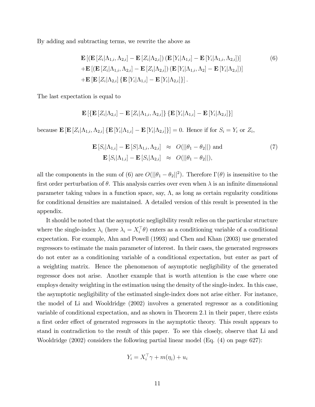By adding and subtracting terms, we rewrite the above as

$$
\mathbf{E}\left[\left(\mathbf{E}\left[Z_i|\Lambda_{1,i},\Lambda_{2,i}\right]-\mathbf{E}\left[Z_i|\Lambda_{2,i}\right]\right)\left(\mathbf{E}\left[Y_i|\Lambda_{1,i}\right]-\mathbf{E}\left[Y_i|\Lambda_{1,i},\Lambda_{2,i}\right]\right)\right]
$$
\n
$$
+\mathbf{E}\left[\left(\mathbf{E}\left[Z_i|\Lambda_{1,i},\Lambda_{2,i}\right]-\mathbf{E}\left[Z_i|\Lambda_{2,i}\right]\right)\left(\mathbf{E}\left[Y_i|\Lambda_{1,i},\Lambda_2\right]-\mathbf{E}\left[Y_i|\Lambda_{2,i}\right]\right)\right]
$$
\n
$$
+\mathbf{E}\left[\mathbf{E}\left[Z_i|\Lambda_{2,i}\right]\left\{\mathbf{E}\left[Y_i|\Lambda_{1,i}\right]-\mathbf{E}\left[Y_i|\Lambda_{2,i}\right]\right\}\right].
$$
\n(6)

The last expectation is equal to

$$
\mathbf{E}\left[\left\{\mathbf{E}\left[Z_i|\Lambda_{2,i}\right]-\mathbf{E}\left[Z_i|\Lambda_{1,i},\Lambda_{2,i}\right]\right\}\left\{\mathbf{E}\left[Y_i|\Lambda_{1,i}\right]-\mathbf{E}\left[Y_i|\Lambda_{2,i}\right]\right\}\right]
$$

because  $\mathbf{E}\left[\mathbf{E}\left[Z_i|\Lambda_{1,i},\Lambda_{2,i}\right]\left\{\mathbf{E}\left[Y_i|\Lambda_{1,i}\right]-\mathbf{E}\left[Y_i|\Lambda_{2,i}\right]\right\}\right]=0$ . Hence if for  $S_i=Y_i$  or  $Z_i$ ,

$$
\mathbf{E}\left[S_i|\Lambda_{1,i}\right] - \mathbf{E}\left[S|\Lambda_{1,i},\Lambda_{2,i}\right] \approx O(||\theta_1 - \theta_2||) \text{ and}
$$
\n
$$
\mathbf{E}\left[S_i|\Lambda_{1,i}\right] - \mathbf{E}\left[S_i|\Lambda_{2,i}\right] \approx O(||\theta_1 - \theta_2||),
$$
\n(7)

all the components in the sum of (6) are  $O(||\theta_1 - \theta_2||^2)$ . Therefore  $\Gamma(\theta)$  is insensitive to the first order perturbation of  $\theta$ . This analysis carries over even when  $\lambda$  is an infinite dimensional parameter taking values in a function space, say,  $\Lambda$ , as long as certain regularity conditions for conditional densities are maintained. A detailed version of this result is presented in the appendix.

It should be noted that the asymptotic negligibility result relies on the particular structure where the single-index  $\lambda_i$  (here  $\lambda_i = X_i^{\top} \theta$ ) enters as a conditioning variable of a conditional expectation. For example, Ahn and Powell (1993) and Chen and Khan (2003) use generated regressors to estimate the main parameter of interest. In their cases, the generated regressors do not enter as a conditioning variable of a conditional expectation, but enter as part of a weighting matrix. Hence the phenomenon of asymptotic negligibility of the generated regressor does not arise. Another example that is worth attention is the case where one employs density weighting in the estimation using the density of the single-index. In this case, the asymptotic negligibility of the estimated single-index does not arise either. For instance, the model of Li and Wooldridge (2002) involves a generated regressor as a conditioning variable of conditional expectation, and as shown in Theorem 2.1 in their paper, there exists a first order effect of generated regressors in the asymptotic theory. This result appears to stand in contradiction to the result of this paper. To see this closely, observe that Li and Wooldridge (2002) considers the following partial linear model (Eq. (4) on page 627):

$$
Y_i = X_i^{\top} \gamma + m(\eta_i) + u_i
$$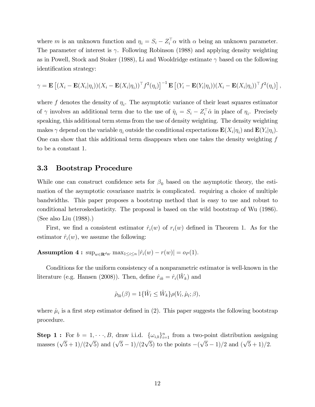where m is an unknown function and  $\eta_i = S_i - Z_i^{\dagger} \alpha$  with  $\alpha$  being an unknown parameter. The parameter of interest is  $\gamma$ . Following Robinson (1988) and applying density weighting as in Powell, Stock and Stoker (1988), Li and Wooldridge estimate  $\gamma$  based on the following identification strategy:

$$
\gamma = \mathbf{E} \left[ (X_i - \mathbf{E}(X_i | \eta_i)) (X_i - \mathbf{E}(X_i | \eta_i))^\top f^2(\eta_i) \right]^{-1} \mathbf{E} \left[ (Y_i - \mathbf{E}(Y_i | \eta_i)) (X_i - \mathbf{E}(X_i | \eta_i))^\top f^2(\eta_i) \right],
$$

where  $f$  denotes the density of  $\eta_i$ . The asymptotic variance of their least squares estimator of  $\gamma$  involves an additional term due to the use of  $\hat{\eta}_i = S_i - Z_i^{\dagger} \hat{\alpha}$  in place of  $\eta_i$ . Precisely speaking, this additional term stems from the use of density weighting. The density weighting makes  $\gamma$  depend on the variable  $\eta_i$  outside the conditional expectations  $\mathbf{E}(X_i|\eta_i)$  and  $\mathbf{E}(Y_i|\eta_i)$ . One can show that this additional term disappears when one takes the density weighting  $f$ to be a constant 1.

#### 3.3 Bootstrap Procedure

While one can construct confidence sets for  $\beta_0$  based on the asymptotic theory, the estimation of the asymptotic covariance matrix is complicated. requiring a choice of multiple bandwidths. This paper proposes a bootstrap method that is easy to use and robust to conditional heteroskedasticity. The proposal is based on the wild bootstrap of Wu (1986). (See also Liu (1988).)

First, we find a consistent estimator  $\hat{r}_i(w)$  of  $r_i(w)$  defined in Theorem 1. As for the estimator  $\hat{r}_i(w)$ , we assume the following:

**Assumption 4 :**  $\sup_{w \in \mathbf{R}^{d_W}} \max_{1 \leq i \leq n} |\hat{r}_i(w) - r(w)| = o_P (1).$ 

Conditions for the uniform consistency of a nonparametric estimator is well-known in the literature (e.g. Hansen (2008)). Then, define  $\hat{r}_{ik} = \hat{r}_i(\hat{W}_k)$  and

$$
\hat{\rho}_{lk}(\beta) = 1\{\hat{W}_l \le \hat{W}_k\} \rho(V_l, \hat{\mu}_l; \beta),
$$

where  $\hat{\mu}_i$  is a first step estimator defined in (2). This paper suggests the following bootstrap procedure.

**Step 1:** For  $b = 1, \dots, B$ , draw i.i.d.  $\{\omega_{i,b}\}_{i=1}^n$  from a two-point distribution assigning masses  $(\sqrt{5} + 1)/(2\sqrt{5})$  and  $(\sqrt{5} - 1)/(2\sqrt{5})$  to the points  $-(\sqrt{5} - 1)/2$  and  $(\sqrt{5} + 1)/2$ .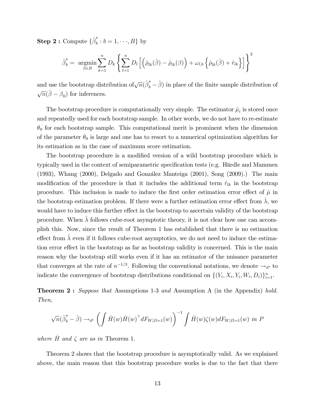$\mathbf{Step\ 2:\}$  Compute  $\{\hat{\beta}^*_b\}$  $b = 1, \dots, B$  by

$$
\hat{\beta}_b^* = \underset{\beta \in B}{\text{argmin}} \sum_{k=1}^n D_k \left\{ \sum_{l=1}^n D_l \left[ \left( \hat{\rho}_{lk}(\hat{\beta}) - \hat{\rho}_{lk}(\beta) \right) + \omega_{l,b} \left\{ \hat{\rho}_{lk}(\hat{\beta}) + \hat{r}_{lk} \right\} \right] \right\}^2
$$

and use the bootstrap distribution of  $\sqrt{n}(\hat{\beta}_b^* - \hat{\beta})$  in place of the finite sample distribution of  $\sqrt{n}(\hat{\boldsymbol{\beta}}-\boldsymbol{\beta}_0)$  for inferences.

The bootstrap procedure is computationally very simple. The estimator  $\hat{\mu}_i$  is stored once and repeatedly used for each bootstrap sample. In other words, we do not have to re-estimate  $\theta_0$  for each bootstrap sample. This computational merit is prominent when the dimension of the parameter  $\theta_0$  is large and one has to resort to a numerical optimization algorithm for its estimation as in the case of maximum score estimation.

The bootstrap procedure is a modified version of a wild bootstrap procedure which is typically used in the context of semiparametric specification tests (e.g. Härdle and Mammen  $(1993)$ , Whang  $(2000)$ , Delgado and González Manteiga  $(2001)$ , Song  $(2009)$ .) The main modification of the procedure is that it includes the additional term  $\hat{r}_{lk}$  in the bootstrap procedure. This inclusion is made to induce the first order estimation error effect of  $\hat{\mu}$  in the bootstrap estimation problem. If there were a further estimation error effect from  $\lambda$ , we would have to induce this further effect in the bootstrap to ascertain validity of the bootstrap procedure. When  $\lambda$  follows cube-root asymptotic theory, it is not clear how one can accomplish this. Now, since the result of Theorem 1 has established that there is no estimation effect from  $\hat{\lambda}$  even if it follows cube-root asymptotics, we do not need to induce the estimation error effect in the bootstrap as far as bootstrap validity is concerned. This is the main reason why the bootstrap still works even if it has an estimator of the nuisance parameter that converges at the rate of  $n^{-1/3}$ . Following the conventional notations, we denote  $\rightarrow_{d^*}$  to indicate the convergence of bootstrap distributions conditional on  $\{(V_i, X_i, Y_i, W_i, D_i)\}_{i=1}^n$ .

**Theorem 2:** Suppose that Assumptions 1-3 and Assumption A (in the Appendix) hold. Then,

$$
\sqrt{n}(\hat{\beta}_b^* - \hat{\beta}) \rightarrow_{d^*} \left( \int \dot{H}(w) \dot{H}(w)^\top dF_{W|D=1}(w) \right)^{-1} \int \dot{H}(w) \zeta(w) dF_{W|D=1}(w) \text{ in } P
$$

where  $H$  and  $\zeta$  are as in Theorem 1.

Theorem 2 shows that the bootstrap procedure is asymptotically valid. As we explained above, the main reason that this bootstrap procedure works is due to the fact that there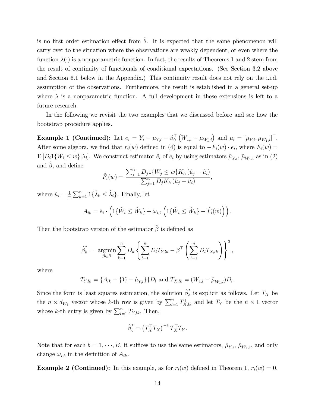is no first order estimation effect from  $\theta$ . It is expected that the same phenomenon will carry over to the situation where the observations are weakly dependent, or even where the function  $\lambda(\cdot)$  is a nonparametric function. In fact, the results of Theorems 1 and 2 stem from the result of continuity of functionals of conditional expectations. (See Section 3.2 above and Section 6.1 below in the Appendix.) This continuity result does not rely on the i.i.d. assumption of the observations. Furthermore, the result is established in a general set-up where  $\lambda$  is a nonparametric function. A full development in these extensions is left to a future research.

In the following we revisit the two examples that we discussed before and see how the bootstrap procedure applies.

**Example 1 (Continued):** Let  $e_i = Y_i - \mu_{Y,i} - \beta_0^{\top} (W_{1,i} - \mu_{W_{1,i}})$  and  $\mu_i = [\mu_{Y,i}, \mu_{W_{1,i}}]^{\top}$ . After some algebra, we find that  $r_i(w)$  defined in (4) is equal to  $-F_i(w) \cdot e_i$ , where  $F_i(w) =$  $\mathbf{E}[D_i \mathbb{1}{W_i \leq w}]|\lambda_i]$ . We construct estimator  $\hat{e}_i$  of  $e_i$  by using estimators  $\hat{\mu}_{Y,i}, \hat{\mu}_{W_1,i}$  as in (2) and  $\hat{\beta}$ , and define

$$
\hat{F}_i(w) = \frac{\sum_{j=1}^n D_j \mathbb{1}\{W_j \le w\} K_h(\hat{u}_j - \hat{u}_i)}{\sum_{j=1}^n D_j K_h(\hat{u}_j - \hat{u}_i)},
$$

where  $\hat{u}_i = \frac{1}{n}$  $\frac{1}{n} \sum_{k=1}^{n} 1\{\hat{\lambda}_k \leq \hat{\lambda}_i\}$ . Finally, let

$$
A_{ik} = \hat{e}_i \cdot \left( 1\{\hat{W}_i \leq \hat{W}_k\} + \omega_{i,b} \left( 1\{\hat{W}_i \leq \hat{W}_k\} - \hat{F}_i(w)\right) \right).
$$

Then the bootstrap version of the estimator  $\hat{\beta}$  is defined as

$$
\hat{\beta}_b^* = \underset{\beta \in B}{\text{argmin}} \sum_{k=1}^n D_k \left\{ \sum_{l=1}^n D_l T_{Y,lk} - \beta^{\top} \left( \sum_{l=1}^n D_l T_{X,lk} \right) \right\}^2,
$$

where

$$
T_{Y,lk} = \{A_{lk} - \{Y_l - \hat{\mu}_{Y,l}\}\}D_l
$$
 and  $T_{X,lk} = (W_{1,l} - \hat{\mu}_{W_1,l})D_l$ .

Since the form is least squares estimation, the solution  $\hat{\beta}_{b}^*$  $b<sub>b</sub>$  is explicit as follows. Let  $T_X$  be the  $n \times d_{W_1}$  vector whose k-th row is given by  $\sum_{l=1}^n T_{X,l,k}^{\top}$  and let  $T_Y$  be the  $n \times 1$  vector whose k-th entry is given by  $\sum_{l=1}^{n} T_{Y,lk}$ . Then,

$$
\hat{\beta}_b^* = \left(T_X^\top T_X\right)^{-1} T_X^\top T_Y.
$$

Note that for each  $b = 1, \dots, B$ , it suffices to use the same estimators,  $\hat{\mu}_{Y,i}, \hat{\mu}_{W_1,i}$ , and only change  $\omega_{i,b}$  in the definition of  $A_{ik}$ .

**Example 2 (Continued):** In this example, as for  $r_i(w)$  defined in Theorem 1,  $r_i(w) = 0$ .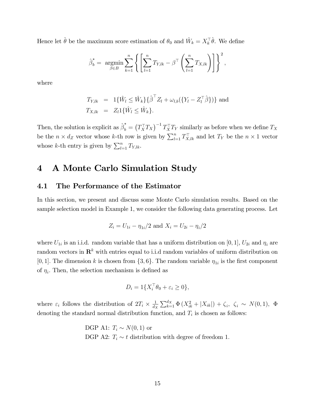Hence let  $\hat{\theta}$  be the maximum score estimation of  $\theta_0$  and  $\hat{W}_k = X_k^{\top} \hat{\theta}$ . We define

$$
\hat{\beta}_b^* = \underset{\beta \in B}{\text{argmin}} \sum_{k=1}^n \left\{ \left[ \sum_{l=1}^n T_{Y,lk} - \beta^{\top} \left( \sum_{l=1}^n T_{X,lk} \right) \right] \right\}^2,
$$

where

$$
T_{Y,lk} = 1\{\hat{W}_l \le \hat{W}_k\} \{\hat{\beta}^\top Z_l + \omega_{l,b} (\{Y_l - Z_l^\top \hat{\beta}\})\} \text{ and}
$$
  

$$
T_{X,lk} = Z_l 1\{\hat{W}_l \le \hat{W}_k\}.
$$

Then, the solution is explicit as  $\hat{\beta}_b^* = (T_X^\top T_X)^{-1} T_X^\top T_Y$  similarly as before when we define  $T_X$ be the  $n \times d_Z$  vector whose k-th row is given by  $\sum_{l=1}^n T_{X,lk}^{\top}$  and let  $T_Y$  be the  $n \times 1$  vector whose k-th entry is given by  $\sum_{l=1}^{n} T_{Y,lk}$ .

## 4 A Monte Carlo Simulation Study

#### 4.1 The Performance of the Estimator

In this section, we present and discuss some Monte Carlo simulation results. Based on the sample selection model in Example 1, we consider the following data generating process. Let

$$
Z_i = U_{1i} - \eta_{1i}/2
$$
 and  $X_i = U_{2i} - \eta_i/2$ 

where  $U_{1i}$  is an i.i.d. random variable that has a uniform distribution on [0, 1],  $U_{2i}$  and  $\eta_i$  are random vectors in  $\mathbb{R}^k$  with entries equal to i.i.d random variables of uniform distribution on [0, 1]. The dimension k is chosen from  $\{3, 6\}$ . The random variable  $\eta_{1i}$  is the first component of  $\eta_i$ . Then, the selection mechanism is defined as

$$
D_i = 1\{X_i^\top \theta_0 + \varepsilon_i \ge 0\},\
$$

where  $\varepsilon_i$  follows the distribution of  $2T_i \times \frac{1}{d_j}$  $\frac{1}{d_X} \sum_{k=1}^{d_X} \Phi(X_{ik}^2 + |X_{ik}|) + \zeta_i, \ \zeta_i \sim N(0, 1), \ \Phi$ denoting the standard normal distribution function, and  $T_i$  is chosen as follows:

> DGP A1:  $T_i \sim N(0, 1)$  or DGP A2:  $T_i \sim t$  distribution with degree of freedom 1.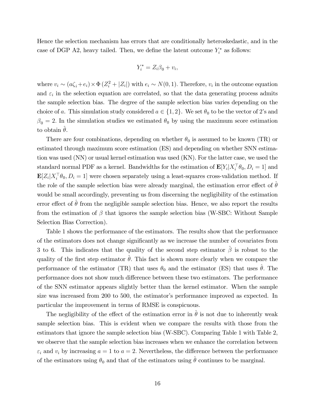Hence the selection mechanism has errors that are conditionally heteroskedastic, and in the case of DGP A2, heavy tailed. Then, we define the latent outcome  $Y_i^*$  as follows:

$$
Y_i^* = Z_i \beta_0 + v_i,
$$

where  $v_i \sim (a\zeta_i + e_i) \times \Phi(Z_i^2 + |Z_i|)$  with  $e_i \sim N(0, 1)$ . Therefore,  $v_i$  in the outcome equation and  $\varepsilon_i$  in the selection equation are correlated, so that the data generating process admits the sample selection bias. The degree of the sample selection bias varies depending on the choice of a. This simulation study considered  $a \in \{1, 2\}$ . We set  $\theta_0$  to be the vector of 2's and  $\beta_0 = 2$ . In the simulation studies we estimated  $\theta_0$  by using the maximum score estimation to obtain  $\theta$ .

There are four combinations, depending on whether  $\theta_0$  is assumed to be known (TR) or estimated through maximum score estimation (ES) and depending on whether SNN estimation was used (NN) or usual kernel estimation was used (KN). For the latter case, we used the standard normal PDF as a kernel. Bandwidths for the estimation of  $\mathbf{E}[Y_i | X_i^{\dagger} \theta_0, D_i = 1]$  and  $\mathbf{E}[Z_i|X_i^{\top}\theta_0, D_i=1]$  were chosen separately using a least-squares cross-validation method. If the role of the sample selection bias were already marginal, the estimation error effect of  $\theta$ would be small accordingly, preventing us from discerning the negligibility of the estimation error effect of  $\theta$  from the negligible sample selection bias. Hence, we also report the results from the estimation of  $\beta$  that ignores the sample selection bias (W-SBC: Without Sample Selection Bias Correction).

Table 1 shows the performance of the estimators. The results show that the performance of the estimators does not change significantly as we increase the number of covariates from 3 to 6. This indicates that the quality of the second step estimator  $\hat{\beta}$  is robust to the quality of the first step estimator  $\hat{\theta}$ . This fact is shown more clearly when we compare the performance of the estimator (TR) that uses  $\theta_0$  and the estimator (ES) that uses  $\hat{\theta}$ . The performance does not show much difference between these two estimators. The performance of the SNN estimator appears slightly better than the kernel estimator. When the sample size was increased from 200 to 500, the estimator's performance improved as expected. In particular the improvement in terms of RMSE is conspicuous.

The negligibility of the effect of the estimation error in  $\hat{\theta}$  is not due to inherently weak sample selection bias. This is evident when we compare the results with those from the estimators that ignore the sample selection bias (W-SBC). Comparing Table 1 with Table 2, we observe that the sample selection bias increases when we enhance the correlation between  $\varepsilon_i$  and  $v_i$  by increasing  $a = 1$  to  $a = 2$ . Nevertheless, the difference between the performance of the estimators using  $\theta_0$  and that of the estimators using  $\hat{\theta}$  continues to be marginal.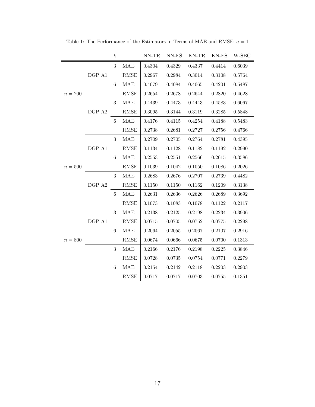|           |              | $\boldsymbol{k}$ |                       | NN-TR      | NN-ES      | KN-TR KN-ES |        | W-SBC  |
|-----------|--------------|------------------|-----------------------|------------|------------|-------------|--------|--------|
|           |              | 3                | MAE                   | 0.4304     | 0.4329     | 0.4337      | 0.4414 | 0.6039 |
|           | $\rm DGP$ A1 |                  | RMSE                  | 0.2967     | 0.2984     | 0.3014      | 0.3108 | 0.5764 |
|           |              | 6                | MAE                   | 0.4079     | 0.4084     | 0.4065      | 0.4201 | 0.5487 |
| $n=200$   |              |                  | RMSE                  | 0.2654     | 0.2678     | 0.2644      | 0.2820 | 0.4628 |
|           |              | 3                | MAE                   | 0.4439     | 0.4473     | 0.4443      | 0.4583 | 0.6067 |
|           | DGP A2       |                  | RMSE                  | 0.3095     | 0.3144     | 0.3119      | 0.3285 | 0.5848 |
|           |              | $\,6\,$          | MAE                   | 0.4176     | 0.4115     | 0.4254      | 0.4188 | 0.5483 |
|           |              |                  | RMSE                  | 0.2738     | 0.2681     | 0.2727      | 0.2756 | 0.4766 |
|           |              | $\boldsymbol{3}$ | MAE                   | 0.2709     | 0.2705     | 0.2764      | 0.2781 | 0.4395 |
|           | DGP A1       |                  | <b>RMSE</b>           | 0.1134     | 0.1128     | 0.1182      | 0.1192 | 0.2990 |
|           |              | 6                | MAE                   | 0.2553     | 0.2551     | 0.2566      | 0.2615 | 0.3586 |
| $n=500$   |              |                  | <b>RMSE</b>           | 0.1039     | 0.1042     | 0.1050      | 0.1086 | 0.2026 |
|           |              | 3                | MAE                   | 0.2683     | 0.2676     | 0.2707      | 0.2739 | 0.4482 |
|           | DGP A2       |                  | <b>RMSE</b>           | 0.1150     | 0.1150     | 0.1162      | 0.1209 | 0.3138 |
|           |              | 6                | <b>MAE</b>            | ${0.2631}$ | 0.2636     | 0.2626      | 0.2689 | 0.3692 |
|           |              |                  | $\operatorname{RMSE}$ | 0.1073     | 0.1083     | $0.1078\,$  | 0.1122 | 0.2117 |
|           |              | 3                | MAE                   | 0.2138     | 0.2125     | 0.2198      | 0.2234 | 0.3906 |
|           | DGP A1       |                  | <b>RMSE</b>           | 0.0715     | 0.0705     | 0.0752      | 0.0775 | 0.2298 |
|           |              | 6                | <b>MAE</b>            | 0.2064     | 0.2055     | 0.2067      | 0.2107 | 0.2916 |
| $n=800\,$ |              |                  | <b>RMSE</b>           | 0.0674     | 0.0666     | 0.0675      | 0.0700 | 0.1313 |
|           |              | $\sqrt{3}$       | MAE                   | 0.2166     | 0.2176     | 0.2198      | 0.2225 | 0.3846 |
|           |              |                  | <b>RMSE</b>           | 0.0728     | 0.0735     | 0.0754      | 0.0771 | 0.2279 |
|           |              | 6                | MAE                   | 0.2154     | $0.2142\,$ | 0.2118      | 0.2203 | 0.2903 |
|           |              |                  | <b>RMSE</b>           | 0.0717     | 0.0717     | 0.0703      | 0.0755 | 0.1351 |

Table 1: The Performance of the Estimators in Terms of MAE and RMSE:  $a=1$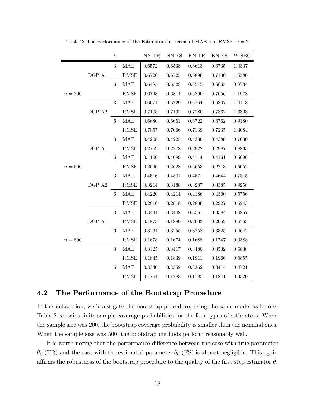|           |        | $\boldsymbol{k}$ |             | $\text{NN-TR}$ | $\ensuremath{\text{NN-ES}}$ | $KN-TR$    | KN-ES  | W-SBC  |
|-----------|--------|------------------|-------------|----------------|-----------------------------|------------|--------|--------|
|           |        | 3                | MAE         | 0.6572         | 0.6533                      | 0.6613     | 0.6735 | 1.0337 |
|           | DGP A1 |                  | <b>RMSE</b> | 0.6726         | 0.6725                      | 0.6896     | 0.7130 | 1.6586 |
|           |        | 6                | <b>MAE</b>  | 0.6485         | 0.6523                      | 0.6545     | 0.6665 | 0.8734 |
| $n=200$   |        |                  | <b>RMSE</b> | 0.6743         | 0.6814                      | 0.6890     | 0.7056 | 1.1978 |
|           |        | 3                | MAE         | 0.6674         | 0.6729                      | 0.6764     | 0.6807 | 1.0113 |
|           | DGP A2 |                  | <b>RMSE</b> | 0.7108         | 0.7192                      | 0.7280     | 0.7362 | 1.6308 |
|           |        | 6                | <b>MAE</b>  | 0.6680         | 0.6651                      | 0.6722     | 0.6762 | 0.9180 |
|           |        |                  | <b>RMSE</b> | 0.7057         | 0.7066                      | 0.7139     | 0.7235 | 1.3084 |
|           |        | $\boldsymbol{3}$ | <b>MAE</b>  | 0.4208         | 0.4225                      | 0.4336     | 0.4388 | 0.7630 |
|           | DGP A1 |                  | <b>RMSE</b> | 0.2769         | 0.2778                      | 0.2922     | 0.2987 | 0.8835 |
|           |        | $\,6$            | <b>MAE</b>  | 0.4100         | 0.4089                      | 0.4114     | 0.4161 | 0.5696 |
| $n=500$   |        |                  | <b>RMSE</b> | 0.2640         | 0.2628                      | 0.2653     | 0.2713 | 0.5052 |
|           |        | 3                | MAE         | 0.4516         | 0.4501                      | 0.4571     | 0.4644 | 0.7815 |
|           | DGP A2 |                  | RMSE        | 0.3214         | 0.3188                      | 0.3287     | 0.3385 | 0.9258 |
|           |        | $6\phantom{.}6$  | <b>MAE</b>  | 0.4220         | 0.4214                      | 0.4186     | 0.4300 | 0.5756 |
|           |        |                  | <b>RMSE</b> | 0.2816         | 0.2818                      | 0.2806     | 0.2927 | 0.5243 |
|           |        | 3                | <b>MAE</b>  | 0.3441         | 0.3448                      | 0.3551     | 0.3584 | 0.6857 |
|           | DGP A1 |                  | <b>RMSE</b> | 0.1873         | 0.1880                      | 0.2003     | 0.2052 | 0.6763 |
|           |        | 6                | MAE         | 0.3264         | 0.3255                      | 0.3258     | 0.3325 | 0.4642 |
| $n = 800$ |        |                  | <b>RMSE</b> | 0.1678         | 0.1674                      | 0.1688     | 0.1747 | 0.3388 |
|           |        | 3                | MAE         | 0.3425         | 0.3417                      | 0.3480     | 0.3532 | 0.6838 |
|           |        |                  | <b>RMSE</b> | 0.1845         | 0.1839                      | $0.1911\,$ | 0.1966 | 0.6855 |
|           |        | $\,6$            | MAE         | 0.3340         | 0.3352                      | 0.3362     | 0.3414 | 0.4721 |
|           |        |                  | <b>RMSE</b> | 0.1761         | 0.1783                      | 0.1785     | 0.1841 | 0.3520 |

Table 2: The Performance of the Estimators in Terms of MAE and RMSE:  $a = 2$ 

#### 4.2 The Performance of the Bootstrap Procedure

In this subsection, we investigate the bootstrap procedure, using the same model as before. Table 2 contains finite sample coverage probabilities for the four types of estimators. When the sample size was 200, the bootstrap coverage probability is smaller than the nominal ones. When the sample size was 500, the bootstrap methods perform reasonably well.

It is worth noting that the performance difference between the case with true parameter  $\theta_0$  (TR) and the case with the estimated parameter  $\theta_0$  (ES) is almost negligible. This again affirms the robustness of the bootstrap procedure to the quality of the first step estimator  $\hat{\theta}$ .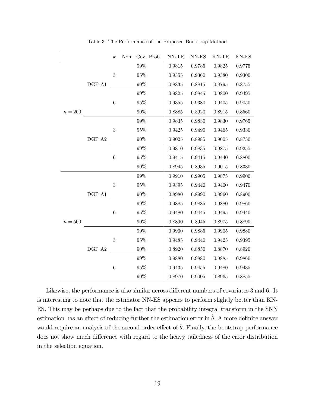|           |        | $\boldsymbol{k}$ | Nom. Cov. Prob. | $NN-TR$    | NN-ES  | KN-TR  | KN-ES  |
|-----------|--------|------------------|-----------------|------------|--------|--------|--------|
|           |        |                  | $99\%$          | 0.9815     | 0.9785 | 0.9825 | 0.9775 |
|           | DGP A1 | $\boldsymbol{3}$ | 95%             | 0.9355     | 0.9360 | 0.9380 | 0.9300 |
|           |        |                  | $90\%$          | 0.8835     | 0.8815 | 0.8795 | 0.8755 |
|           |        |                  | $99\%$          | 0.9825     | 0.9845 | 0.9800 | 0.9495 |
|           |        | $\,6$            | 95%             | 0.9355     | 0.9380 | 0.9405 | 0.9050 |
| $n = 200$ |        |                  | $90\%$          | 0.8885     | 0.8920 | 0.8915 | 0.8560 |
|           |        |                  | $99\%$          | 0.9835     | 0.9830 | 0.9830 | 0.9765 |
|           |        | $\boldsymbol{3}$ | $95\%$          | 0.9425     | 0.9490 | 0.9465 | 0.9330 |
|           | DGP A2 |                  | $90\%$          | 0.9025     | 0.8985 | 0.9005 | 0.8730 |
|           |        |                  | $99\%$          | 0.9810     | 0.9835 | 0.9875 | 0.9255 |
|           |        | $\,6$            | 95%             | 0.9415     | 0.9415 | 0.9440 | 0.8800 |
|           |        |                  | $90\%$          | 0.8945     | 0.8935 | 0.9015 | 0.8330 |
|           | DGP A1 | $\boldsymbol{3}$ | 99%             | 0.9910     | 0.9905 | 0.9875 | 0.9900 |
|           |        |                  | $95\%$          | 0.9395     | 0.9440 | 0.9400 | 0.9470 |
|           |        |                  | $90\%$          | 0.8980     | 0.8990 | 0.8960 | 0.8900 |
|           |        | $\,6$            | 99%             | 0.9885     | 0.9885 | 0.9880 | 0.9860 |
|           |        |                  | 95%             | 0.9480     | 0.9445 | 0.9495 | 0.9440 |
| $n=500$   |        |                  | $90\%$          | 0.8890     | 0.8945 | 0.8975 | 0.8890 |
|           |        |                  | 99%             | 0.9900     | 0.9885 | 0.9905 | 0.9880 |
|           |        | $\sqrt{3}$       | 95%             | ${0.9485}$ | 0.9440 | 0.9425 | 0.9395 |
|           | DGP A2 |                  | $90\%$          | 0.8920     | 0.8850 | 0.8870 | 0.8920 |
|           |        |                  | 99%             | 0.9880     | 0.9880 | 0.9885 | 0.9860 |
|           |        | $\,6$            | 95%             | 0.9435     | 0.9455 | 0.9480 | 0.9435 |
|           |        |                  | 90%             | 0.8970     | 0.9005 | 0.8965 | 0.8855 |

Table 3: The Performance of the Proposed Bootstrap Method

Likewise, the performance is also similar across different numbers of covariates 3 and 6. It is interesting to note that the estimator NN-ES appears to perform slightly better than KN-ES. This may be perhaps due to the fact that the probability integral transform in the SNN estimation has an effect of reducing further the estimation error in  $\hat{\theta}$ . A more definite answer would require an analysis of the second order effect of  $\hat{\theta}$ . Finally, the bootstrap performance does not show much difference with regard to the heavy tailedness of the error distribution in the selection equation.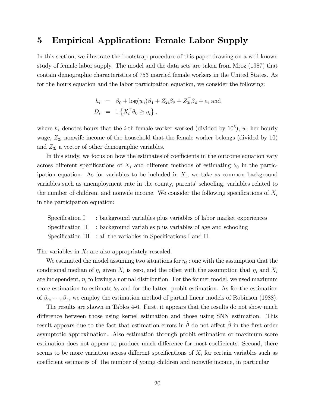## 5 Empirical Application: Female Labor Supply

In this section, we illustrate the bootstrap procedure of this paper drawing on a well-known study of female labor supply. The model and the data sets are taken from Mroz (1987) that contain demographic characteristics of 753 married female workers in the United States. As for the hours equation and the labor participation equation, we consider the following:

$$
h_i = \beta_0 + \log(w_i)\beta_1 + Z_{2i}\beta_2 + Z_{3i}^\top\beta_4 + \varepsilon_i
$$
 and  

$$
D_i = 1\left\{X_i^\top\theta_0 \ge \eta_i\right\},
$$

where  $h_i$  denotes hours that the *i*-th female worker worked (divided by  $10^3$ ),  $w_i$  her hourly wage,  $Z_{2i}$  nonwife income of the household that the female worker belongs (divided by 10) and  $Z_{3i}$  a vector of other demographic variables.

In this study, we focus on how the estimates of coefficients in the outcome equation vary across different specifications of  $X_i$  and different methods of estimating  $\theta_0$  in the participation equation. As for variables to be included in  $X_i$ , we take as common background variables such as unemployment rate in the county, parents' schooling, variables related to the number of children, and nonwife income. We consider the following specifications of  $X_i$ in the participation equation:

Specification I Specification II Specification III : background variables plus variables of labor market experiences : background variables plus variables of age and schooling : all the variables in Specifications I and II.

The variables in  $X_i$  are also appropriately rescaled.

We estimated the model assuming two situations for  $\eta_i$  : one with the assumption that the conditional median of  $\eta_i$  given  $X_i$  is zero, and the other with the assumption that  $\eta_i$  and  $X_i$ are independent,  $\eta_i$  following a normal distribution. For the former model, we used maximum score estimation to estimate  $\theta_0$  and for the latter, probit estimation. As for the estimation of  $\beta_0, \dots, \beta_4$ , we employ the estimation method of partial linear models of Robinson (1988).

The results are shown in Tables 4-6. First, it appears that the results do not show much difference between those using kernel estimation and those using SNN estimation. This result appears due to the fact that estimation errors in  $\hat{\theta}$  do not affect  $\hat{\beta}$  in the first order asymptotic approximation. Also estimation through probit estimation or maximum score estimation does not appear to produce much difference for most coefficients. Second, there seems to be more variation across different specifications of  $X_i$  for certain variables such as coefficient estimates of the number of young children and nonwife income, in particular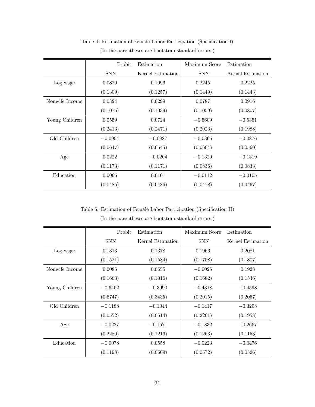|                | Probit     | Estimation        | Maximum Score | Estimation        |  |
|----------------|------------|-------------------|---------------|-------------------|--|
|                | <b>SNN</b> | Kernel Estimation | <b>SNN</b>    | Kernel Estimation |  |
| Log wage       | 0.0870     | 0.1096<br>0.2245  |               | 0.2225            |  |
|                | (0.1309)   | (0.1257)          | (0.1449)      | (0.1443)          |  |
| Nonwife Income | 0.0324     | 0.0299            | 0.0787        | 0.0916            |  |
|                | (0.1075)   | (0.1039)          | (0.1059)      | (0.0807)          |  |
| Young Children | 0.0559     | 0.0724            | $-0.5609$     | $-0.5351$         |  |
|                | (0.2413)   | (0.2471)          | (0.2023)      | (0.1988)          |  |
| Old Children   | $-0.0904$  | $-0.0887$         | $-0.0865$     | $-0.0876$         |  |
|                | (0.0647)   | (0.0645)          | (0.0604)      | (0.0560)          |  |
| Age            | 0.0222     | $-0.0204$         | $-0.1320$     | $-0.1319$         |  |
|                | (0.1173)   | (0.1171)          | (0.0836)      | (0.0833)          |  |
| Education      | 0.0065     | 0.0101            | $-0.0112$     | $-0.0105$         |  |
|                | (0.0485)   | (0.0486)          | (0.0478)      | (0.0467)          |  |

Table 4: Estimation of Female Labor Participation (Specification I)

(In the parentheses are bootstrap standard errors.)

Table 5: Estimation of Female Labor Participation (Specification II)

|                | Probit     | Estimation        | Maximum Score | Estimation        |
|----------------|------------|-------------------|---------------|-------------------|
|                | <b>SNN</b> | Kernel Estimation | <b>SNN</b>    | Kernel Estimation |
| Log wage       | 0.1313     | 0.1378            | 0.1966        | 0.2081            |
|                | (0.1521)   | (0.1584)          | (0.1758)      | (0.1807)          |
| Nonwife Income | 0.0085     | 0.0655            | $-0.0025$     | 0.1928            |
|                | (0.1663)   | (0.1016)          | (0.1682)      | (0.1546)          |
| Young Children | $-0.6462$  | $-0.3990$         | $-0.4318$     | $-0.4598$         |
|                | (0.6747)   | (0.3435)          | (0.2015)      | (0.2057)          |
| Old Children   | $-0.1188$  | $-0.1044$         | $-0.1417$     | $-0.3298$         |
|                | (0.0552)   | (0.0514)          | (0.2261)      | (0.1958)          |
| Age            | $-0.0227$  | $-0.1571$         | $-0.1832$     | $-0.2667$         |
|                | (0.2280)   | (0.1216)          | (0.1263)      | (0.1153)          |
| Education      | $-0.0078$  | 0.0558            | $-0.0223$     | $-0.0476$         |
|                | (0.1198)   | (0.0609)          | (0.0572)      | (0.0526)          |

(In the parentheses are bootstrap standard errors.)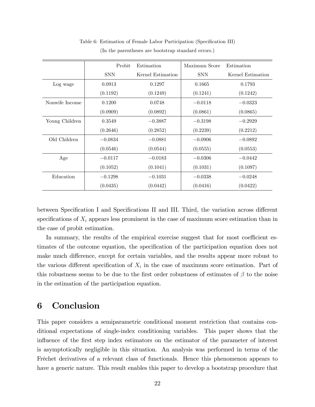|                | Probit     | Estimation        | Maximum Score | Estimation        |
|----------------|------------|-------------------|---------------|-------------------|
|                | <b>SNN</b> | Kernel Estimation | <b>SNN</b>    | Kernel Estimation |
| Log wage       | 0.0913     | 0.1297            | 0.1665        | 0.1793            |
|                | (0.1192)   | (0.1249)          | (0.1241)      | (0.1242)          |
| Nonwife Income | 0.1200     | 0.0748            | $-0.0118$     | $-0.0323$         |
|                | (0.0909)   | (0.0892)          | (0.0861)      | (0.0865)          |
| Young Children | 0.3549     | $-0.3887$         | $-0.3198$     | $-0.2929$         |
|                | (0.2646)   | (0.2852)          | (0.2239)      | (0.2212)          |
| Old Children   | $-0.0834$  | $-0.0881$         | $-0.0906$     | $-0.0892$         |
|                | (0.0546)   | (0.0544)          | (0.0555)      | (0.0553)          |
| Age            | $-0.0117$  | $-0.0183$         | $-0.0306$     | $-0.0442$         |
|                | (0.1052)   | (0.1041)          | (0.1031)      | (0.1097)          |
| Education      | $-0.1298$  | $-0.1031$         | $-0.0338$     | $-0.0248$         |
|                | (0.0435)   | (0.0442)          | (0.0416)      | (0.0422)          |

Table 6: Estimation of Female Labor Participation (Specification III) (In the parentheses are bootstrap standard errors.)

between Specification I and Specifications II and III. Third, the variation across different specifications of  $X_i$  appears less prominent in the case of maximum score estimation than in the case of probit estimation.

In summary, the results of the empirical exercise suggest that for most coefficient estimates of the outcome equation, the specification of the participation equation does not make much difference, except for certain variables, and the results appear more robust to the various different specification of  $X_i$  in the case of maximum score estimation. Part of this robustness seems to be due to the first order robustness of estimates of  $\beta$  to the noise in the estimation of the participation equation.

## 6 Conclusion

This paper considers a semiparametric conditional moment restriction that contains conditional expectations of single-index conditioning variables. This paper shows that the influence of the first step index estimators on the estimator of the parameter of interest is asymptotically negligible in this situation. An analysis was performed in terms of the Fréchet derivatives of a relevant class of functionals. Hence this phenomenon appears to have a generic nature. This result enables this paper to develop a bootstrap procedure that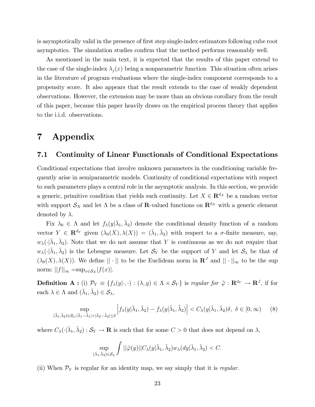is asymptotically valid in the presence of first step single-index estimators following cube root asymptotics. The simulation studies confirm that the method performs reasonably well.

As mentioned in the main text, it is expected that the results of this paper extend to the case of the single-index  $\lambda_i(x)$  being a nonparametric function This situation often arises in the literature of program evaluations where the single-index component corresponds to a propensity score. It also appears that the result extends to the case of weakly dependent observations. However, the extension may be more than an obvious corollary from the result of this paper, because this paper heavily draws on the empirical process theory that applies to the i.i.d. observations.

## 7 Appendix

#### 7.1 Continuity of Linear Functionals of Conditional Expectations

Conditional expectations that involve unknown parameters in the conditioning variable frequently arise in semiparametric models. Continuity of conditional expectations with respect to such parameters plays a central role in the asymptotic analysis. In this section, we provide a generic, primitive condition that yields such continuity. Let  $X \in \mathbb{R}^{d_X}$  be a random vector with support  $S_X$  and let  $\Lambda$  be a class of **R**-valued functions on  $\mathbb{R}^{d_X}$  with a generic element denoted by  $\lambda$ .

Fix  $\lambda_0 \in \Lambda$  and let  $f_{\lambda}(y|\bar{\lambda}_1, \bar{\lambda}_2)$  denote the conditional density function of a random vector  $Y \in \mathbf{R}^{d_Y}$  given  $(\lambda_0(X), \lambda(X)) = (\bar{\lambda}_1, \bar{\lambda}_2)$  with respect to a  $\sigma$ -finite measure, say,  $w_{\lambda}(\cdot|\bar{\lambda}_1,\bar{\lambda}_2)$ . Note that we do not assume that Y is continuous as we do not require that  $w_{\lambda}(\cdot|\bar{\lambda}_1,\bar{\lambda}_2)$  is the Lebesgue measure. Let  $\mathcal{S}_Y$  be the support of Y and let  $\mathcal{S}_{\lambda}$  be that of  $(\lambda_0(X), \lambda(X))$ . We define  $||\cdot||$  to be the Euclidean norm in  $\mathbb{R}^J$  and  $||\cdot||_{\infty}$  to be the sup norm:  $||f||_{\infty} = \sup_{x \in S_X} |f(x)|$ .

**Definition A**: (i)  $\mathcal{P}_Y \equiv \{f_\lambda(y|\cdot, \cdot) : (\lambda, y) \in \Lambda \times \mathcal{S}_Y\}$  is regular for  $\tilde{\varphi}: \mathbf{R}^{d_Y} \to \mathbf{R}^J$ , if for each  $\lambda \in \Lambda$  and  $(\bar{\lambda}_1, \bar{\lambda}_2) \in S_{\lambda}$ ,

$$
\sup_{\left(\tilde{\lambda}_1,\tilde{\lambda}_2\right)\in\mathcal{S}_{\lambda}:|\bar{\lambda}_1-\tilde{\lambda}_1|+|\bar{\lambda}_2-\tilde{\lambda}_2|\leq\delta} \left|f_{\lambda}(y|\bar{\lambda}_1,\bar{\lambda}_2)-f_{\lambda}(y|\tilde{\lambda}_1,\tilde{\lambda}_2)\right| < C_{\lambda}(y|\bar{\lambda}_1,\bar{\lambda}_2)\delta, \ \delta \in [0,\infty) \tag{8}
$$

where  $C_{\lambda}(\cdot|\bar{\lambda}_1,\bar{\lambda}_2):\mathcal{S}_Y\to\mathbf{R}$  is such that for some  $C>0$  that does not depend on  $\lambda$ ,

$$
\sup_{(\bar{\lambda}_1,\bar{\lambda}_2)\in \mathcal{S}_{\lambda}}\int ||\tilde{\varphi}(y)||C_{\lambda}(y|\bar{\lambda}_1,\bar{\lambda}_2)w_{\lambda}(dy|\bar{\lambda}_1,\bar{\lambda}_2)
$$

(ii) When  $P_Y$  is regular for an identity map, we say simply that it is *regular*.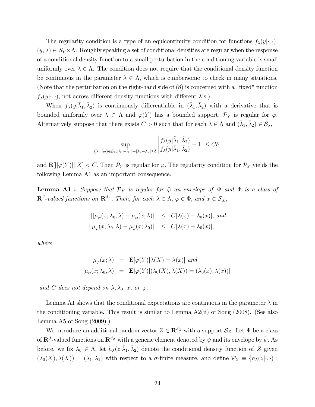The regularity condition is a type of an equicontinuity condition for functions  $f_{\lambda}(y|\cdot,\cdot),$  $(y, \lambda) \in S_Y \times \Lambda$ . Roughly speaking a set of conditional densities are regular when the response of a conditional density function to a small perturbation in the conditioning variable is small uniformly over  $\lambda \in \Lambda$ . The condition does not require that the conditional density function be continuous in the parameter  $\lambda \in \Lambda$ , which is cumbersome to check in many situations. (Note that the perturbation on the right-hand side of  $(8)$  is concerned with a "fixed" function  $f_{\lambda}(y|\cdot,\cdot)$ , not across different density functions with different  $\lambda$ 's.)

When  $f_{\lambda}(y|\bar{\lambda}_1,\bar{\lambda}_2)$  is continuously differentiable in  $(\bar{\lambda}_1,\bar{\lambda}_2)$  with a derivative that is bounded uniformly over  $\lambda \in \Lambda$  and  $\tilde{\varphi}(Y)$  has a bounded support,  $\mathcal{P}_Y$  is regular for  $\tilde{\varphi}$ . Alternatively suppose that there exists  $C > 0$  such that for each  $\lambda \in \Lambda$  and  $(\bar{\lambda}_1, \bar{\lambda}_2) \in \mathcal{S}_{\lambda}$ ,

$$
\sup_{(\tilde{\lambda}_1,\tilde{\lambda}_2)\in \mathcal{S}_{\lambda}: |\tilde{\lambda}_1-\tilde{\lambda}_1|+|\tilde{\lambda}_2-\tilde{\lambda}_2|\leq \delta}\left|\frac{f_{\lambda}(y|\tilde{\lambda}_1,\tilde{\lambda}_2)}{f_{\lambda}(y|\bar{\lambda}_1,\bar{\lambda}_2)}-1\right|\leq C\delta,
$$

and  $\mathbf{E}[||\tilde{\varphi}(Y)|||X] < C$ . Then  $\mathcal{P}_Y$  is regular for  $\tilde{\varphi}$ . The regularity condition for  $\mathcal{P}_Y$  yields the following Lemma A1 as an important consequence.

**Lemma A1 :** Suppose that  $\mathcal{P}_Y$  is regular for  $\tilde{\varphi}$  an envelope of  $\Phi$  and  $\Phi$  is a class of  $\mathbf{R}^{J}\text{-valued functions on }\mathbf{R}^{d_Y}$ . Then, for each  $\lambda \in \Lambda$ ,  $\varphi \in \Phi$ , and  $x \in \mathcal{S}_X$ ,

$$
||\mu_{\varphi}(x;\lambda_{0},\lambda) - \mu_{\varphi}(x;\lambda)|| \leq C|\lambda(x) - \lambda_{0}(x)|, and
$$
  

$$
||\mu_{\varphi}(x;\lambda_{0},\lambda) - \mu_{\varphi}(x;\lambda_{0})|| \leq C|\lambda(x) - \lambda_{0}(x)|,
$$

where

$$
\mu_{\varphi}(x;\lambda) = \mathbf{E}[\varphi(Y)|\lambda(X) = \lambda(x)] \text{ and}
$$

$$
\mu_{\varphi}(x;\lambda_0,\lambda) = \mathbf{E}[\varphi(Y)|(\lambda_0(X),\lambda(X)) = (\lambda_0(x),\lambda(x))]
$$

and C does not depend on  $\lambda, \lambda_0, x,$  or  $\varphi$ .

Lemma A1 shows that the conditional expectations are continuous in the parameter  $\lambda$  in the conditioning variable. This result is similar to Lemma A2(ii) of Song (2008). (See also Lemma A5 of Song (2009).)

We introduce an additional random vector  $Z \in \mathbb{R}^{d_Z}$  with a support  $\mathcal{S}_Z$ . Let  $\Psi$  be a class of  $\mathbf{R}^J$ -valued functions on  $\mathbf{R}^{d_Z}$  with a generic element denoted by  $\psi$  and its envelope by  $\tilde{\psi}$ . As before, we fix  $\lambda_0 \in \Lambda$ , let  $h_\lambda(z|\bar{\lambda}_1, \bar{\lambda}_2)$  denote the conditional density function of Z given  $(\lambda_0(X), \lambda(X)) = (\bar{\lambda}_1, \bar{\lambda}_2)$  with respect to a  $\sigma$ -finite measure, and define  $\mathcal{P}_Z \equiv \{h_\lambda(z|\cdot, \cdot):$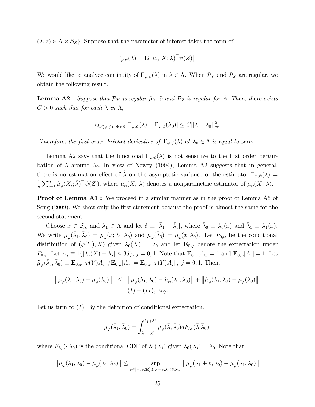$(\lambda, z) \in \Lambda \times \mathcal{S}_Z$ . Suppose that the parameter of interest takes the form of

$$
\Gamma_{\varphi,\psi}(\lambda) = \mathbf{E}\left[\mu_{\varphi}(X;\lambda)^{\top}\psi(Z)\right].
$$

We would like to analyze continuity of  $\Gamma_{\varphi,\psi}(\lambda)$  in  $\lambda \in \Lambda$ . When  $\mathcal{P}_Y$  and  $\mathcal{P}_Z$  are regular, we obtain the following result.

**Lemma A2 :** Suppose that  $\mathcal{P}_Y$  is regular for  $\tilde{\varphi}$  and  $\mathcal{P}_Z$  is regular for  $\tilde{\psi}$ . Then, there exists  $C > 0$  such that for each  $\lambda$  in  $\Lambda$ ,

$$
\sup_{(\varphi,\psi)\in\Phi\times\Psi}|\Gamma_{\varphi,\psi}(\lambda)-\Gamma_{\varphi,\psi}(\lambda_0)|\leq C||\lambda-\lambda_0||_{\infty}^2.
$$

Therefore, the first order Fréchet derivative of  $\Gamma_{\varphi,\psi}(\lambda)$  at  $\lambda_0 \in \Lambda$  is equal to zero.

Lemma A2 says that the functional  $\Gamma_{\varphi,\psi}(\lambda)$  is not sensitive to the first order perturbation of  $\lambda$  around  $\lambda_0$ . In view of Newey (1994), Lemma A2 suggests that in general, there is no estimation effect of  $\hat{\lambda}$  on the asymptotic variance of the estimator  $\hat{\Gamma}_{\varphi,\psi}(\hat{\lambda}) =$ 1  $\frac{1}{n} \sum_{i=1}^n \hat{\mu}_{\varphi}(X_i; \hat{\lambda})^{\top} \psi(Z_i)$ , where  $\hat{\mu}_{\varphi}(X_i; \lambda)$  denotes a nonparametric estimator of  $\mu_{\varphi}(X_i; \lambda)$ .

**Proof of Lemma A1:** We proceed in a similar manner as in the proof of Lemma A5 of Song (2009). We show only the first statement because the proof is almost the same for the second statement.

Choose  $x \in S_X$  and  $\lambda_1 \in \Lambda$  and let  $\delta \equiv |\bar{\lambda}_1 - \bar{\lambda}_0|$ , where  $\bar{\lambda}_0 \equiv \lambda_0(x)$  and  $\bar{\lambda}_1 \equiv \lambda_1(x)$ . We write  $\mu_{\varphi}(\bar{\lambda}_1, \bar{\lambda}_0) = \mu_{\varphi}(x; \lambda_1, \lambda_0)$  and  $\mu_{\varphi}(\bar{\lambda}_0) = \mu_{\varphi}(x; \lambda_0)$ . Let  $P_{0,\varphi}$  be the conditional distribution of  $(\varphi(Y), X)$  given  $\lambda_0(X) = \overline{\lambda}_0$  and let  $\mathbf{E}_{0,\varphi}$  denote the expectation under  $P_{0,\varphi}$ . Let  $A_j \equiv 1\{|\lambda_j(X) - \bar{\lambda}_j| \leq 3\delta\}, \ j = 0, 1$ . Note that  $\mathbf{E}_{0,\varphi}[A_0] = 1$  and  $\mathbf{E}_{0,\varphi}[A_1] = 1$ . Let  $\tilde{\mu}_{\varphi}(\bar{\lambda}_j, \bar{\lambda}_0) \equiv \mathbf{E}_{0,\varphi}\left[\varphi(Y)A_j\right] / \mathbf{E}_{0,\varphi}[A_j] = \mathbf{E}_{0,\varphi}\left[\varphi(Y)A_j\right], j = 0, 1.$  Then,

$$
\|\mu_{\varphi}(\bar{\lambda}_{1},\bar{\lambda}_{0})-\mu_{\varphi}(\bar{\lambda}_{0})\| \leq \|\mu_{\varphi}(\bar{\lambda}_{1},\bar{\lambda}_{0})-\tilde{\mu}_{\varphi}(\bar{\lambda}_{1},\bar{\lambda}_{0})\| + \|\tilde{\mu}_{\varphi}(\bar{\lambda}_{1},\bar{\lambda}_{0})-\mu_{\varphi}(\bar{\lambda}_{0})\|
$$
  
= (I) + (II), say.

Let us turn to  $(I)$ . By the definition of conditional expectation,

$$
\tilde{\mu}_{\varphi}(\bar{\lambda}_1, \bar{\lambda}_0) = \int_{\bar{\lambda}_1 - 3\delta}^{\bar{\lambda}_1 + 3\delta} \mu_{\varphi}(\bar{\lambda}, \bar{\lambda}_0) dF_{\lambda_1}(\bar{\lambda}|\bar{\lambda}_0),
$$

where  $F_{\lambda_1}(\cdot|\bar{\lambda}_0)$  is the conditional CDF of  $\lambda_1(X_i)$  given  $\lambda_0(X_i) = \bar{\lambda}_0$ . Note that

$$
\left\|\mu_\varphi(\bar{\lambda}_1,\bar{\lambda}_0)-\tilde{\mu}_\varphi(\bar{\lambda}_1,\bar{\lambda}_0)\right\|\leq \sup_{v\in[-3\delta,3\delta]:(\bar{\lambda}_1+v,\bar{\lambda}_0)\in \mathcal{S}_{\lambda_1}}\left\|\mu_\varphi(\bar{\lambda}_1+v,\bar{\lambda}_0)-\mu_\varphi(\bar{\lambda}_1,\bar{\lambda}_0)\right\|
$$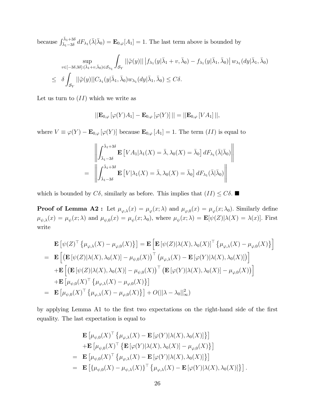because  $\int_{\bar{\lambda}_1-3\delta}^{\bar{\lambda}_1+3\delta}$  $\sum_{\bar{\lambda}_1-\bar{3}\delta}^{\lambda_1+\bar{3}\delta} dF_{\lambda_1}(\bar{\lambda}|\bar{\lambda}_0) = \mathbf{E}_{0,\varphi}[A_1] = 1.$  The last term above is bounded by

$$
\sup_{v \in [-3\delta,3\delta]: (\bar{\lambda}_1+v,\bar{\lambda}_0) \in \mathcal{S}_{\lambda_1}} \int_{\mathcal{S}_Y} ||\tilde{\varphi}(y)|| \left| f_{\lambda_1}(y|\bar{\lambda}_1+v,\bar{\lambda}_0) - f_{\lambda_1}(y|\bar{\lambda}_1,\bar{\lambda}_0) \right| w_{\lambda_1}(dy|\bar{\lambda}_1,\bar{\lambda}_0)
$$
  

$$
\leq \delta \int_{\mathcal{S}_Y} ||\tilde{\varphi}(y)||C_{\lambda_1}(y|\bar{\lambda}_1,\bar{\lambda}_0) w_{\lambda_1}(dy|\bar{\lambda}_1,\bar{\lambda}_0) \leq C\delta.
$$

Let us turn to  $(II)$  which we write as

$$
||\mathbf{E}_{0,\varphi}[\varphi(Y)A_1]-\mathbf{E}_{0,\varphi}[\varphi(Y)]||=||\mathbf{E}_{0,\varphi}[VA_1]||,
$$

where  $V \equiv \varphi(Y) - \mathbf{E}_{0,\varphi}[\varphi(Y)]$  because  $\mathbf{E}_{0,\varphi}[A_1] = 1$ . The term  $(II)$  is equal to

$$
\left\| \int_{\bar{\lambda}_1 - 3\delta}^{\bar{\lambda}_1 + 3\delta} \mathbf{E} \left[ VA_1 | \lambda_1(X) = \bar{\lambda}, \lambda_0(X) = \bar{\lambda}_0 \right] dF_{\lambda_1}(\bar{\lambda} | \bar{\lambda}_0) \right\|
$$
  
= 
$$
\left\| \int_{\bar{\lambda}_1 - 3\delta}^{\bar{\lambda}_1 + 3\delta} \mathbf{E} \left[ V | \lambda_1(X) = \bar{\lambda}, \lambda_0(X) = \bar{\lambda}_0 \right] dF_{\lambda_1}(\bar{\lambda} | \bar{\lambda}_0) \right\|
$$

which is bounded by  $C\delta$ , similarly as before. This implies that  $(II) \leq C\delta$ .

**Proof of Lemma A2**: Let  $\mu_{\varphi,\lambda}(x) = \mu_{\varphi}(x;\lambda)$  and  $\mu_{\varphi,0}(x) = \mu_{\varphi}(x;\lambda_0)$ . Similarly define  $\mu_{\psi,\lambda}(x) = \mu_{\psi}(x;\lambda)$  and  $\mu_{\psi,0}(x) = \mu_{\psi}(x;\lambda_0)$ , where  $\mu_{\psi}(x;\lambda) = \mathbf{E}[\psi(Z)|\lambda(X) = \lambda(x)]$ . First write

$$
\mathbf{E}\left[\psi(Z)^{\top}\left\{\mu_{\varphi,\lambda}(X) - \mu_{\varphi,0}(X)\right\}\right] = \mathbf{E}\left[\mathbf{E}\left[\psi(Z)|\lambda(X),\lambda_{0}(X)\right]^{\top}\left\{\mu_{\varphi,\lambda}(X) - \mu_{\varphi,0}(X)\right\}\right]
$$
\n
$$
= \mathbf{E}\left[\left(\mathbf{E}\left[\psi(Z)|\lambda(X),\lambda_{0}(X)\right] - \mu_{\psi,0}(X)\right)^{\top}\left(\mu_{\varphi,\lambda}(X) - \mathbf{E}\left[\varphi(Y)|\lambda(X),\lambda_{0}(X)\right]\right)\right]
$$
\n
$$
+ \mathbf{E}\left[\left(\mathbf{E}\left[\psi(Z)|\lambda(X),\lambda_{0}(X)\right] - \mu_{\psi,0}(X)\right)^{\top}\left(\mathbf{E}\left[\varphi(Y)|\lambda(X),\lambda_{0}(X)\right] - \mu_{\varphi,0}(X)\right)\right]
$$
\n
$$
+ \mathbf{E}\left[\mu_{\psi,0}(X)^{\top}\left\{\mu_{\varphi,\lambda}(X) - \mu_{\varphi,0}(X)\right\}\right]
$$
\n
$$
= \mathbf{E}\left[\mu_{\psi,0}(X)^{\top}\left\{\mu_{\varphi,\lambda}(X) - \mu_{\varphi,0}(X)\right\}\right] + O(||\lambda - \lambda_{0}||^{2}_{\infty})
$$

by applying Lemma A1 to the first two expectations on the right-hand side of the first equality. The last expectation is equal to

$$
\mathbf{E} \left[ \mu_{\psi,0}(X)^\top \left\{ \mu_{\varphi,\lambda}(X) - \mathbf{E} \left[ \varphi(Y) | \lambda(X), \lambda_0(X) \right] \right\} \right] \n+ \mathbf{E} \left[ \mu_{\psi,0}(X)^\top \left\{ \mathbf{E} \left[ \varphi(Y) | \lambda(X), \lambda_0(X) \right] - \mu_{\varphi,0}(X) \right\} \right] \n= \mathbf{E} \left[ \mu_{\psi,0}(X)^\top \left\{ \mu_{\varphi,\lambda}(X) - \mathbf{E} \left[ \varphi(Y) | \lambda(X), \lambda_0(X) \right] \right\} \right] \n= \mathbf{E} \left[ \left\{ \mu_{\psi,0}(X) - \mu_{\psi,\lambda}(X) \right\}^\top \left\{ \mu_{\varphi,\lambda}(X) - \mathbf{E} \left[ \varphi(Y) | \lambda(X), \lambda_0(X) \right] \right\} \right].
$$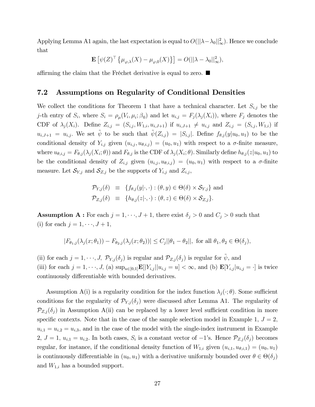Applying Lemma A1 again, the last expectation is equal to  $O(||\lambda - \lambda_0||^2_{\infty})$ . Hence we conclude that

$$
\mathbf{E}\left[\psi(Z)^{\top}\left\{\mu_{\varphi,\lambda}(X) - \mu_{\varphi,0}(X)\right\}\right] = O(||\lambda - \lambda_0||_{\infty}^2),
$$

affirming the claim that the Fréchet derivative is equal to zero.  $\blacksquare$ 

#### 7.2 Assumptions on Regularity of Conditional Densities

We collect the conditions for Theorem 1 that have a technical character. Let  $S_{i,j}$  be the j-th entry of  $S_i$ , where  $S_i = \rho_\mu(V_i, \mu_i; \beta_0)$  and let  $u_{i,j} = F_j(\lambda_j(X_i))$ , where  $F_j$  denotes the CDF of  $\lambda_j (X_i)$ . Define  $Z_{i,j} = (S_{i,j}, W_{1,i}, u_{i,J+1})$  if  $u_{i,J+1} \neq u_{i,j}$  and  $Z_{i,j} = (S_{i,j}, W_{1,i})$  if  $u_{i,J+1} = u_{i,j}$ . We set  $\tilde{\psi}$  to be such that  $\tilde{\psi}(Z_{i,j}) = |S_{i,j}|$ . Define  $f_{\theta,j}(y|u_0, u_1)$  to be the conditional density of  $Y_{i,j}$  given  $(u_{i,j}, u_{\theta,i,j}) = (u_0, u_1)$  with respect to a  $\sigma$ -finite measure, where  $u_{\theta,i,j} = F_{\theta,j}(\lambda_j(X_i;\theta))$  and  $F_{\theta,j}$  is the CDF of  $\lambda_j(X_i;\theta)$ . Similarly define  $h_{\theta,j}(z|u_0,u_1)$  to be the conditional density of  $Z_{i,j}$  given  $(u_{i,j}, u_{\theta,i,j}) = (u_0, u_1)$  with respect to a  $\sigma$ -finite measure. Let  $\mathcal{S}_{Y,j}$  and  $\mathcal{S}_{Z,j}$  be the supports of  $Y_{i,j}$  and  $Z_{i,j}$ ,

$$
\mathcal{P}_{Y,j}(\delta) \equiv \{f_{\theta,j}(y|\cdot,\cdot) : (\theta, y) \in \Theta(\delta) \times \mathcal{S}_{Y,j}\} \text{ and}
$$
  

$$
\mathcal{P}_{Z,j}(\delta) \equiv \{h_{\theta,j}(z|\cdot,\cdot) : (\theta, z) \in \Theta(\delta) \times \mathcal{S}_{Z,j}\}.
$$

**Assumption A :** For each  $j = 1, \dots, J + 1$ , there exist  $\delta_j > 0$  and  $C_j > 0$  such that (i) for each  $j = 1, \dots, J + 1$ ,

$$
|F_{\theta_1,j}(\lambda_j(x;\theta_1)) - F_{\theta_2,j}(\lambda_j(x;\theta_2))| \le C_j ||\theta_1 - \theta_2||, \text{ for all } \theta_1, \theta_2 \in \Theta(\delta_j),
$$

(ii) for each  $j = 1, \dots, J$ ,  $\mathcal{P}_{Y,j}(\delta_j)$  is regular and  $\mathcal{P}_{Z,j}(\delta_j)$  is regular for  $\tilde{\psi}$ , and (iii) for each  $j = 1, \dots, J$ , (a)  $\sup_{u \in [0,1]} \mathbf{E}[|Y_{i,j}| | u_{i,j} = u] < \infty$ , and (b)  $\mathbf{E}[Y_{i,j} | u_{i,j} = \cdot]$  is twice continuously differentiable with bounded derivatives.

Assumption A(i) is a regularity condition for the index function  $\lambda_i(\cdot; \theta)$ . Some sufficient conditions for the regularity of  $\mathcal{P}_{Y,j}(\delta_j)$  were discussed after Lemma A1. The regularity of  $\mathcal{P}_{Z,j}(\delta_j)$  in Assumption A(ii) can be replaced by a lower level sufficient condition in more specific contexts. Note that in the case of the sample selection model in Example 1,  $J = 2$ ,  $u_{i,1} = u_{i,2} = u_{i,3}$ , and in the case of the model with the single-index instrument in Example  $2, J = 1, u_{i,1} = u_{i,2}$ . In both cases,  $S_i$  is a constant vector of  $-1$ 's. Hence  $\mathcal{P}_{Z,j}(\delta_j)$  becomes regular, for instance, if the conditional density function of  $W_{1,i}$  given  $(u_{i,1}, u_{\theta,i,1}) = (u_0, u_1)$ is continuously differentiable in  $(u_0, u_1)$  with a derivative uniformly bounded over  $\theta \in \Theta(\delta_j)$ and  $W_{1,i}$  has a bounded support.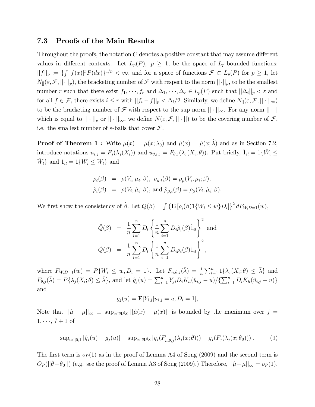#### 7.3 Proofs of the Main Results

Throughout the proofs, the notation  $C$  denotes a positive constant that may assume different values in different contexts. Let  $L_p(P)$ ,  $p \geq 1$ , be the space of  $L_p$ -bounded functions:  $||f||_p := \{ \int |f(x)|^p P(dx) \}^{1/p} < \infty$ , and for a space of functions  $\mathcal{F} \subset L_p(P)$  for  $p \geq 1$ , let  $N_{\parallel}(\varepsilon, \mathcal{F}, ||\cdot||_p)$ , the bracketing number of  $\mathcal F$  with respect to the norm  $||\cdot||_p$ , to be the smallest number r such that there exist  $f_1, \dots, f_r$  and  $\Delta_1, \dots, \Delta_r \in L_p(P)$  such that  $||\Delta_i||_p < \varepsilon$  and for all  $f \in \mathcal{F}$ , there exists  $i \leq r$  with  $||f_i - f||_p < \Delta_i/2$ . Similarly, we define  $N_{\parallel}(\varepsilon, \mathcal{F}, || \cdot ||_{\infty})$ to be the bracketing number of  $\mathcal F$  with respect to the sup norm  $||\cdot||_{\infty}$ . For any norm  $||\cdot||$ which is equal to  $\|\cdot\|_p$  or  $\|\cdot\|_{\infty}$ , we define  $N(\varepsilon, \mathcal{F}, \|\cdot\|)$  to be the covering number of  $\mathcal{F},$ i.e. the smallest number of  $\varepsilon$ -balls that cover  $\mathcal{F}$ .

**Proof of Theorem 1 :** Write  $\mu(x) = \mu(x; \lambda_0)$  and  $\hat{\mu}(x) = \hat{\mu}(x; \hat{\lambda})$  and as in Section 7.2, introduce notations  $u_{i,j} = F_j(\lambda_j(X_i))$  and  $u_{\theta,i,j} = F_{\theta,j}(\lambda_j(X_i;\theta))$ . Put briefly,  $\hat{1}_{il} = 1\{\hat{W}_i \leq \theta_j(X_i;\theta)\}$  $\hat{W}_l$  and  $1_{il} = 1\{W_i \leq W_l\}$  and

$$
\rho_i(\beta) = \rho(V_i, \mu_i; \beta), \ \rho_{\mu,i}(\beta) = \rho_\mu(V_i, \mu_i; \beta),
$$
  

$$
\hat{\rho}_i(\beta) = \rho(V_i, \hat{\mu}_i; \beta), \text{ and } \hat{\rho}_{\beta,i}(\beta) = \rho_\beta(V_i, \hat{\mu}_i; \beta).
$$

We first show the consistency of  $\hat{\beta}$ . Let  $Q(\beta) = \int {\{\mathbf{E} [\rho_i(\beta) 1\{W_i \leq w\} D_i]\}}^2 dF_{W,D=1}(w)$ ,

$$
\hat{Q}(\beta) = \frac{1}{n} \sum_{l=1}^{n} D_l \left\{ \frac{1}{n} \sum_{i=1}^{n} D_i \hat{\rho}_i(\beta) \hat{1}_{il} \right\}^2
$$
 and  

$$
\tilde{Q}(\beta) = \frac{1}{n} \sum_{l=1}^{n} D_l \left\{ \frac{1}{n} \sum_{i=1}^{n} D_i \rho_i(\beta) 1_{il} \right\}^2,
$$

where  $F_{W,D=1}(w) = P\{W_i \leq w, D_i = 1\}$ . Let  $F_{n,\theta,j}(\bar{\lambda}) = \frac{1}{n} \sum_{i=1}^n 1\{\lambda_j(X_i;\theta) \leq \bar{\lambda}\}\$ and  $F_{\theta,j}(\bar{\lambda}) = P\{\lambda_j(X_i; \theta) \leq \bar{\lambda}\}\$ , and let  $\hat{g}_j(u) = \sum_{i=1}^n Y_{ji}D_iK_h(\hat{u}_{i,j} - u)/\{\sum_{i=1}^n D_iK_h(\hat{u}_{i,j} - u)\}\$ and

$$
g_j(u) = \mathbf{E}[Y_{i,j}|u_{i,j} = u, D_i = 1],
$$

Note that  $\|\hat{\mu} - \mu\|_{\infty} \equiv \sup_{x \in \mathbf{R}^{d_X}} \|\hat{\mu}(x) - \mu(x)\|$  is bounded by the maximum over  $j =$  $1, \dots, J+1$  of

$$
\sup_{u\in[0,1]}|\hat{g}_j(u)-g_j(u)|+\sup_{x\in\mathbf{R}^d} |g_j(F_{n,\hat{\theta},j}(\lambda_j(x;\hat{\theta}))) - g_j(F_j(\lambda_j(x;\theta_0)))|.\tag{9}
$$

The first term is  $o_P(1)$  as in the proof of Lemma A4 of Song (2009) and the second term is  $O_P(||\hat{\theta} - \theta_0||)$  (e.g. see the proof of Lemma A3 of Song (2009).) Therefore,  $||\hat{\mu} - \mu||_{\infty} = o_P (1)$ .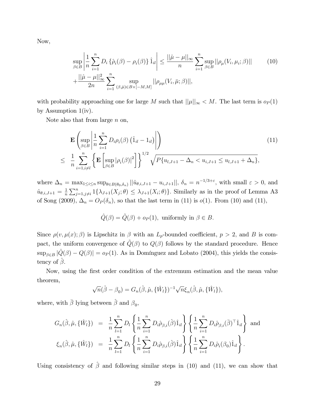Now,

$$
\sup_{\beta \in B} \left| \frac{1}{n} \sum_{i=1}^{n} D_i \left\{ \hat{\rho}_i(\beta) - \rho_i(\beta) \right\} \hat{1}_i \right| \le \frac{||\hat{\mu} - \mu||_{\infty}}{n} \sum_{i=1}^{n} \sup_{\beta \in B} ||\rho_{\mu}(V_i, \mu_i; \beta)|| \tag{10}
$$
\n
$$
+ \frac{||\hat{\mu} - \mu||_{\infty}^2}{2n} \sum_{i=1}^{n} \sup_{(\beta, \bar{\mu}) \in B \times [-M, M]} ||\rho_{\mu\mu}(V_i, \bar{\mu}; \beta)||,
$$

with probability approaching one for large M such that  $||\mu||_{\infty} < M$ . The last term is  $o_P(1)$ by Assumption 1(iv).

Note also that from large  $n$  on,

$$
\mathbf{E}\left(\sup_{\beta\in B}\left|\frac{1}{n}\sum_{i=1}^{n}D_{i}\rho_{i}(\beta)\left(\hat{1}_{il}-1_{il}\right)\right|\right) \n\leq \frac{1}{n}\sum_{i=1,i\neq l}^{n}\left\{\mathbf{E}\left[\sup_{\beta\in B}|\rho_{i}(\beta)|^{2}\right]\right\}^{1/2}\sqrt{P\{u_{l,J+1}-\Delta_{n} < u_{i,J+1} \leq u_{l,J+1}+\Delta_{n}\},
$$
\n(11)

where  $\Delta_n = \max_{1 \leq i \leq n} \sup_{\theta \in B(\theta_0, \delta_n)} ||\hat{u}_{\theta, i, J+1} - u_{i, J+1}||, \delta_n = n^{-1/3+\varepsilon}$ , with small  $\varepsilon > 0$ , and  $\hat{u}_{\theta,i,J+1} = \frac{1}{n}$  $\frac{1}{n}\sum_{j=1,j\neq i}^{n}1\{\lambda_{J+1}(X_j;\theta)\leq \lambda_{J+1}(X_i;\theta)\}\.$  Similarly as in the proof of Lemma A3 of Song (2009),  $\Delta_n = O_P(\delta_n)$ , so that the last term in (11) is  $o(1)$ . From (10) and (11),

$$
\hat{Q}(\beta) = \tilde{Q}(\beta) + o_P(1), \text{ uniformly in } \beta \in B.
$$

Since  $\rho(v, \mu(x); \beta)$  is Lipschitz in  $\beta$  with an  $L_p$ -bounded coefficient,  $p > 2$ , and B is compact, the uniform convergence of  $\tilde{Q}(\beta)$  to  $Q(\beta)$  follows by the standard procedure. Hence  $\sup_{\beta \in B} |\hat{Q}(\beta) - Q(\beta)| = o_P (1)$ . As in Domínguez and Lobato (2004), this yields the consistency of  $\hat{\beta}$ .

Now, using the Örst order condition of the extremum estimation and the mean value theorem,

$$
\sqrt{n}(\hat{\beta} - \beta_0) = G_n(\hat{\beta}, \hat{\mu}, {\{\hat{W}_l\}})^{-1} \sqrt{n} \xi_n(\hat{\beta}, \hat{\mu}, {\{\hat{W}_l\}}),
$$

where, with  $\bar{\beta}$  lying between  $\hat{\beta}$  and  $\beta_0$ ,

$$
G_n(\hat{\beta}, \hat{\mu}, \{\hat{W}_l\}) = \frac{1}{n} \sum_{l=1}^n D_l \left\{ \frac{1}{n} \sum_{i=1}^n D_i \hat{\rho}_{\beta, i}(\hat{\beta}) \hat{1}_{il} \right\} \left\{ \frac{1}{n} \sum_{i=1}^n D_i \hat{\rho}_{\beta, i}(\bar{\beta})^\top \hat{1}_{il} \right\} \text{ and}
$$
  

$$
\xi_n(\hat{\beta}, \hat{\mu}, \{\hat{W}_l\}) = \frac{1}{n} \sum_{l=1}^n D_l \left\{ \frac{1}{n} \sum_{i=1}^n D_i \hat{\rho}_{\beta, i}(\hat{\beta}) \hat{1}_{il} \right\} \left\{ \frac{1}{n} \sum_{i=1}^n D_i \hat{\rho}_i(\beta_0) \hat{1}_{il} \right\}.
$$

Using consistency of  $\hat{\beta}$  and following similar steps in (10) and (11), we can show that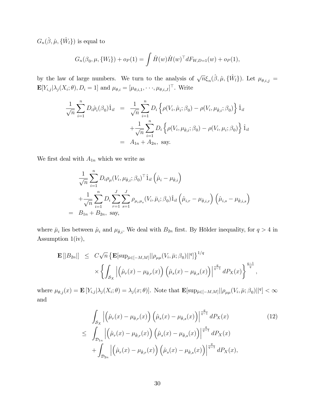$G_n(\hat{\beta}, \hat{\mu}, {\hat{W}}_l)$  is equal to

$$
G_n(\beta_0, \mu, \{W_l\}) + o_P(1) = \int \dot{H}(w) \dot{H}(w)^\top dF_{W,D=1}(w) + o_P(1),
$$

by the law of large numbers. We turn to the analysis of  $\sqrt{n} \xi_n(\hat{\beta}, \hat{\mu}, {\hat{W}}_l)$ . Let  $\mu_{\theta, i,j} =$  $\mathbf{E}[Y_{i,j}|\lambda_j(X_i;\theta), D_i=1]$  and  $\mu_{\theta,i}=[\mu_{\theta,i,1},\cdots,\mu_{\theta,i,J}]^{\top}$ . Write

$$
\frac{1}{\sqrt{n}} \sum_{i=1}^{n} D_{i} \hat{\rho}_{i}(\beta_{0}) \hat{1}_{il} = \frac{1}{\sqrt{n}} \sum_{i=1}^{n} D_{i} \left\{ \rho(V_{i}, \hat{\mu}_{i}; \beta_{0}) - \rho(V_{i}, \mu_{\hat{\theta},i}; \beta_{0}) \right\} \hat{1}_{il} + \frac{1}{\sqrt{n}} \sum_{i=1}^{n} D_{i} \left\{ \rho(V_{i}, \mu_{\hat{\theta},i}; \beta_{0}) - \rho(V_{i}, \mu_{i}; \beta_{0}) \right\} \hat{1}_{il} = A_{1n} + A_{2n}, \text{ say.}
$$

We first deal with  $A_{1n}$  which we write as

$$
\frac{1}{\sqrt{n}} \sum_{i=1}^{n} D_i \rho_{\mu} (V_i, \mu_{\hat{\theta},i}; \beta_0)^{\top} \hat{1}_{il} (\hat{\mu}_i - \mu_{\hat{\theta},i}) \n+ \frac{1}{\sqrt{n}} \sum_{i=1}^{n} D_i \sum_{r=1}^{J} \sum_{s=1}^{J} \rho_{\mu_r \mu_s} (V_i, \bar{\mu}_i; \beta_0) \hat{1}_{il} (\hat{\mu}_{i,r} - \mu_{\hat{\theta},i,r}) (\hat{\mu}_{i,s} - \mu_{\hat{\theta},i,s}) \n= B_{1n} + B_{2n}, \text{ say,}
$$

where  $\bar{\mu}_i$  lies between  $\hat{\mu}_i$  and  $\mu_{\hat{\theta},i}$ . We deal with  $B_{2n}$  first. By Hölder inequality, for  $q > 4$  in Assumption 1(iv),

$$
\mathbf{E} [ |B_{2n}| ] \leq C \sqrt{n} \left\{ \mathbf{E} [\sup_{\bar{\mu} \in [-M,M]} || \rho_{\mu\mu}(V_i, \bar{\mu}; \beta_0) ||^q] \right\}^{1/q} \times \left\{ \int_{\mathcal{S}_X} \left| \left( \hat{\mu}_r(x) - \mu_{\hat{\theta},r}(x) \right) \left( \hat{\mu}_s(x) - \mu_{\hat{\theta},s}(x) \right) \right|^{\frac{q}{q-1}} dP_X(x) \right\}^{\frac{q-1}{q}},
$$

where  $\mu_{\theta,j}(x) = \mathbf{E}\left[Y_{i,j}|\lambda_j(X_i;\theta) = \lambda_j(x;\theta)\right]$ . Note that  $\mathbf{E}[\sup_{\bar{\mu}\in[-M,M]}||\rho_{\mu\mu}(V_i,\bar{\mu};\beta_0)||^q] < \infty$ and

$$
\int_{\mathcal{S}_X} \left| \left( \hat{\mu}_r(x) - \mu_{\hat{\theta},r}(x) \right) \left( \hat{\mu}_s(x) - \mu_{\hat{\theta},s}(x) \right) \right|^{\frac{q}{q-1}} dP_X(x) \tag{12}
$$
\n
$$
\leq \int_{\mathcal{D}_{1n}} \left| \left( \hat{\mu}_r(x) - \mu_{\hat{\theta},r}(x) \right) \left( \hat{\mu}_s(x) - \mu_{\hat{\theta},s}(x) \right) \right|^{\frac{q}{q-1}} dP_X(x) \tag{12}
$$
\n
$$
+ \int_{\mathcal{D}_{2n}} \left| \left( \hat{\mu}_r(x) - \mu_{\hat{\theta},r}(x) \right) \left( \hat{\mu}_s(x) - \mu_{\hat{\theta},s}(x) \right) \right|^{\frac{q}{q-1}} dP_X(x),
$$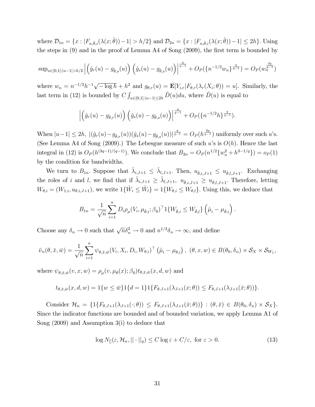where  $\mathcal{D}_{1n} = \{x : |F_{n,\hat{\theta},i}(\lambda(x;\hat{\theta})) - 1| > h/2\}$  and  $\mathcal{D}_{2n} = \{x : |F_{n,\hat{\theta},i}(\lambda(x;\hat{\theta})) - 1| \leq 2h\}$ . Using the steps in  $(9)$  and in the proof of Lemma A4 of Song  $(2009)$ , the first term is bounded by

$$
\sup_{u\in[0,1]:|u-1|>h/2}\left|\left(\hat{g}_r(u)-g_{\hat{\theta},s}(u)\right)\left(\hat{g}_s(u)-g_{\hat{\theta},s}(u)\right)\right|^{\frac{q}{q-1}}+O_P(\{n^{-1/2}w_n\}^{\frac{q}{q-1}})=O_P(w_n^{\frac{2q}{q-1}}).
$$

where  $w_n = n^{-1/2}h^{-1}\sqrt{-\log h} + h^2$  and  $g_{\theta,r}(u) = \mathbf{E}[Y_{i,r}|F_{\theta,r}(\lambda_r(X_i;\theta)) = u]$ . Similarly, the last term in (12) is bounded by  $C \int_{u \in [0,1]:|u-1| \le 2h} \hat{D}(u) du$ , where  $\hat{D}(u)$  is equal to

$$
\left| \left( \hat{g}_r(u) - g_{\hat{\theta},r}(u) \right) \left( \hat{g}_s(u) - g_{\hat{\theta},s}(u) \right) \right|^{\frac{q}{q-1}} + O_P(\{n^{-1/2}h\}^{\frac{q}{q-1}}).
$$

When  $|u-1| \le 2h$ ,  $|(\hat{g}_r(u)-g_{\hat{\theta},r}(u))(\hat{g}_s(u)-g_{\hat{\theta},s}(u))|^{\frac{q}{q-1}} = O_P (h^{\frac{2q}{q-1}})$  uniformly over such u's. (See Lemma A4 of Song (2009).) The Lebesgue measure of such u's is  $O(h)$ . Hence the last integral in (12) is  $O_P(h^{(3q-1)/(q-1)})$ . We conclude that  $B_{2n} = O_P(n^{1/2}{w_n^2 + h^{3-1/q}}) = o_P(1)$ by the condition for bandwidths.

We turn to  $B_{1n}$ . Suppose that  $\hat{\lambda}_{i,J+1} \leq \hat{\lambda}_{i,J+1}$ . Then,  $u_{\hat{\theta},i,J+1} \leq u_{\hat{\theta},i,J+1}$ . Exchanging the roles of i and l, we find that if  $\hat{\lambda}_{i,J+1} \geq \hat{\lambda}_{l,J+1}$ ,  $u_{\hat{\theta},i,J+1} \geq u_{\hat{\theta},l,J+1}$ . Therefore, letting  $W_{\theta,i} = (W_{1,i}, u_{\theta,i,J+1}),$  we write  $1\{\hat{W}_i \leq \hat{W}_l\} = 1\{W_{\theta,i} \leq W_{\theta,l}\}.$  Using this, we deduce that

$$
B_{1n} = \frac{1}{\sqrt{n}} \sum_{i=1}^{n} D_i \rho_{\mu} (V_i, \mu_{\hat{\theta},i}; \beta_0)^\top 1 \{ W_{\hat{\theta},i} \le W_{\hat{\theta},l} \} (\hat{\mu}_i - \mu_{\hat{\theta},i}).
$$

Choose any  $\delta_n \to 0$  such that  $\sqrt{n} \delta_n^2 \to 0$  and  $n^{1/3} \delta_n \to \infty$ , and define

$$
\tilde{\nu}_n(\theta, \bar{x}, \bar{w}) = \frac{1}{\sqrt{n}} \sum_{i=1}^n \psi_{\theta, \bar{x}, \bar{w}}(V_i, X_i, D_i, W_{\theta, i})^\top (\hat{\mu}_i - \mu_{\theta, i}), (\theta, x, w) \in B(\theta_0, \delta_n) \times S_X \times S_{W_1},
$$

where  $\psi_{\theta,\bar{x},\bar{w}}(v,x,w) = \rho_\mu(v,\mu_\theta(x);\beta_0) t_{\theta,\bar{x},\bar{w}}(x,d,w)$  and

$$
t_{\theta,\bar{x},\bar{w}}(x,d,w) = 1\{w \leq \bar{w}\}1\{d = 1\}1\{F_{\theta,J+1}(\lambda_{J+1}(x;\theta)) \leq F_{\theta,J+1}(\lambda_{J+1}(\bar{x};\theta))\}.
$$

Consider  $\mathcal{H}_n = \{1\{F_{\theta,J+1}(\lambda_{J+1}(\cdot;\theta)) \leq F_{\theta,J+1}(\lambda_{J+1}(\bar{x};\theta))\} : (\theta,\bar{x}) \in B(\theta_0,\delta_n) \times \mathcal{S}_X\}.$ Since the indicator functions are bounded and of bounded variation, we apply Lemma A1 of Song (2009) and Assumption 3(i) to deduce that

$$
\log N_{[]}(\varepsilon, \mathcal{H}_n, || \cdot ||_q) \le C \log \varepsilon + C/\varepsilon, \text{ for } \varepsilon > 0.
$$
 (13)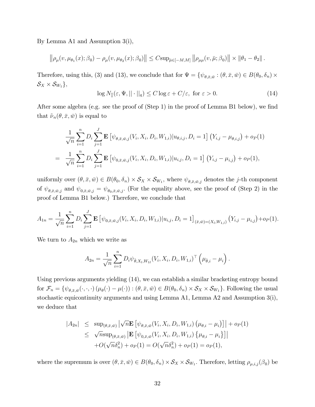By Lemma A1 and Assumption 3(i),

$$
\left\|\rho_\mu(v,\mu_{\theta_1}(x);\beta_0)-\rho_\mu(v,\mu_{\theta_2}(x);\beta_0)\right\|\leq C\mathrm{sup}_{\bar{\mu}\in[-M,M]}\left\|\rho_{\mu\mu}(v,\bar{\mu};\beta_0)\right\|\times\left\|\theta_1-\theta_2\right\|.
$$

Therefore, using this, (3) and (13), we conclude that for  $\Psi = \{\psi_{\theta,\bar{x},\bar{w}} : (\theta,\bar{x},\bar{w}) \in B(\theta_0,\delta_n) \times$  $\mathcal{S}_X \times \mathcal{S}_{W_1}$ },

$$
\log N_{[]}(\varepsilon, \Psi, || \cdot ||_{q}) \le C \log \varepsilon + C/\varepsilon, \text{ for } \varepsilon > 0.
$$
 (14)

After some algebra (e.g. see the proof of  $(Step 1)$  in the proof of Lemma B1 below), we find that  $\tilde{\nu}_n(\theta,\bar{x},\bar{w})$  is equal to

$$
\frac{1}{\sqrt{n}} \sum_{i=1}^{n} D_i \sum_{j=1}^{J} \mathbf{E} \left[ \psi_{\theta, \bar{x}, \bar{w}, j}(V_i, X_i, D_i, W_{1,i}) | u_{\theta, i, j}, D_i = 1 \right] (Y_{i, j} - \mu_{\theta, i, j}) + o_P(1)
$$
  
= 
$$
\frac{1}{\sqrt{n}} \sum_{i=1}^{n} D_i \sum_{j=1}^{J} \mathbf{E} \left[ \psi_{0, \bar{x}, \bar{w}, j}(V_i, X_i, D_i, W_{1,i}) | u_{i, j}, D_i = 1 \right] (Y_{i, j} - \mu_{i, j}) + o_P(1),
$$

uniformly over  $(\theta, \bar{x}, \bar{w}) \in B(\theta_0, \delta_n) \times S_X \times S_{W_1}$ , where  $\psi_{\theta, \bar{x}, \bar{w}, j}$  denotes the j-th component of  $\psi_{\theta,\bar{x},\bar{w},j}$  and  $\psi_{0,\bar{x},\bar{w},j} = \psi_{\theta_0,\bar{x},\bar{w},j}$ . (For the equality above, see the proof of (Step 2) in the proof of Lemma B1 below.) Therefore, we conclude that

$$
A_{1n} = \frac{1}{\sqrt{n}} \sum_{i=1}^{n} D_i \sum_{j=1}^{J} \mathbf{E} \left[ \psi_{0,\bar{x},\bar{w},j}(V_i, X_i, D_i, W_{1,i}) | u_{i,j}, D_i = 1 \right]_{(\bar{x},\bar{w}) = (X_l, W_{1,l})} (Y_{i,j} - \mu_{i,j}) + o_P(1).
$$

We turn to  $A_{2n}$  which we write as

$$
A_{2n} = \frac{1}{\sqrt{n}} \sum_{i=1}^{n} D_i \psi_{\hat{\theta}, X_i, W_{1i}} (V_i, X_i, D_i, W_{1,i})^{\top} (\mu_{\hat{\theta},i} - \mu_i).
$$

Using previous arguments yielding (14), we can establish a similar bracketing entropy bound for  $\mathcal{F}_n = \{ \psi_{\theta, \bar{x}, \bar{w}}(\cdot, \cdot, \cdot) (\mu_\theta(\cdot) - \mu(\cdot)) : (\theta, \bar{x}, \bar{w}) \in B(\theta_0, \delta_n) \times \mathcal{S}_X \times \mathcal{S}_{W_1} \}.$  Following the usual stochastic equicontinuity arguments and using Lemma A1, Lemma A2 and Assumption 3(i), we deduce that

$$
|A_{2n}| \leq \sup_{(\theta,\bar{x},\bar{w})} |\sqrt{n} \mathbf{E} [\psi_{\theta,\bar{x},\bar{w}}(V_i, X_i, D_i, W_{1,i}) (\mu_{\theta,i} - \mu_i)]| + o_P(1)
$$
  
\n
$$
\leq \sqrt{n} \sup_{(\theta,\bar{x},\bar{w})} |\mathbf{E} [\psi_{0,\bar{x},\bar{w}}(V_i, X_i, D_i, W_{1,i}) {\mu_{\theta,i} - \mu_i}]|
$$
  
\n
$$
+ O(\sqrt{n} \delta_n^2) + o_P(1) = O(\sqrt{n} \delta_n^2) + o_P(1) = o_P(1),
$$

where the supremum is over  $(\theta, \bar{x}, \bar{w}) \in B(\theta_0, \delta_n) \times S_X \times S_{W_1}$ . Therefore, letting  $\rho_{\mu,i,j}(\beta_0)$  be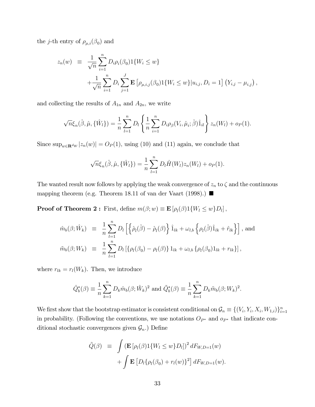the *j*-th entry of  $\rho_{\mu,i}(\beta_0)$  and

$$
z_n(w) \equiv \frac{1}{\sqrt{n}} \sum_{i=1}^n D_i \rho_i(\beta_0) 1\{W_i \le w\}
$$
  
+ 
$$
\frac{1}{\sqrt{n}} \sum_{i=1}^n D_i \sum_{j=1}^J \mathbf{E} \left[ \rho_{\mu,i,j}(\beta_0) 1\{W_i \le w\} | u_{i,j}, D_i = 1 \right] (Y_{i,j} - \mu_{i,j}),
$$

and collecting the results of  $A_{1n}$  and  $A_{2n}$ , we write

$$
\sqrt{n}\xi_n(\hat{\beta}, \hat{\mu}, \{\hat{W}_l\}) = \frac{1}{n}\sum_{l=1}^n D_l \left\{ \frac{1}{n}\sum_{i=1}^n D_i \rho_{\beta}(V_i, \hat{\mu}_i; \hat{\beta}) \hat{1}_{il} \right\} z_n(W_l) + o_P(1).
$$

Since  $\sup_{w \in \mathbf{R}^{d_W}} |z_n(w)| = O_P(1)$ , using (10) and (11) again, we conclude that

$$
\sqrt{n}\xi_n(\hat{\beta}, \hat{\mu}, \{\hat{W}_l\}) = \frac{1}{n}\sum_{l=1}^n D_l \dot{H}(W_l) z_n(W_l) + o_P(1).
$$

The wanted result now follows by applying the weak convergence of  $z_n$  to  $\zeta$  and the continuous mapping theorem (e.g. Theorem 18.11 of van der Vaart (1998).)

**Proof of Theorem 2**: First, define  $m(\beta; w) \equiv \mathbf{E}\left[\rho_l(\beta)1\{W_l \leq w\}D_l\right]$ ,

$$
\hat{m}_b(\beta; \hat{W}_k) \equiv \frac{1}{n} \sum_{l=1}^n D_l \left[ \left\{ \hat{\rho}_l(\hat{\beta}) - \hat{\rho}_l(\beta) \right\} \hat{1}_{lk} + \omega_{l,b} \left\{ \rho_l(\hat{\beta}) \hat{1}_{lk} + \hat{r}_{lk} \right\} \right], \text{ and}
$$
  

$$
\tilde{m}_b(\beta; W_k) \equiv \frac{1}{n} \sum_{l=1}^n D_l \left[ \{ \rho_l(\beta_0) - \rho_l(\beta) \} 1_{lk} + \omega_{l,b} \{ \rho_l(\beta_0) 1_{lk} + r_{lk} \} \right],
$$

where  $r_{lk} = r_l(W_k)$ . Then, we introduce

$$
\hat{Q}_{b}^{*}(\beta) \equiv \frac{1}{n} \sum_{k=1}^{n} D_{k} \hat{m}_{b}(\beta; \hat{W}_{k})^{2} \text{ and } \tilde{Q}_{b}^{*}(\beta) \equiv \frac{1}{n} \sum_{k=1}^{n} D_{k} \tilde{m}_{b}(\beta; W_{k})^{2}.
$$

We first show that the bootstrap estimator is consistent conditional on  $\mathcal{G}_n \equiv \{(V_i, Y_i, X_i, W_{1,i})\}_{i=1}^n$ in probability. (Following the conventions, we use notations  $O_{P^*}$  and  $o_{P^*}$  that indicate conditional stochastic convergences given  $\mathcal{G}_n$ .) Define

$$
\tilde{Q}(\beta) \equiv \int (\mathbf{E} \left[ \rho_l(\beta) \mathbf{1} \{ W_l \le w \} D_l \right]^2 dF_{W,D=1}(w) + \int \mathbf{E} \left[ D_l \{ \rho_l(\beta_0) + r_l(w) \}^2 \right] dF_{W,D=1}(w).
$$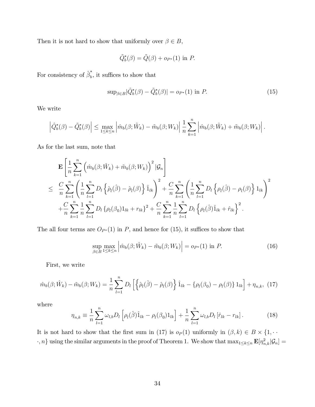Then it is not hard to show that uniformly over  $\beta \in B$ ,

$$
\tilde{Q}_b^*(\beta) = \tilde{Q}(\beta) + o_{P^*}(1)
$$
 in P.

For consistency of  $\hat{\beta}_b^*$  $\lambda_b$ , it suffices to show that

$$
\sup_{\beta \in B} |\hat{Q}_{b}^{*}(\beta) - \tilde{Q}_{b}^{*}(\beta)| = o_{P^{*}}(1) \text{ in } P.
$$
 (15)

We write

$$
\left|\hat{Q}_{b}^{*}(\beta)-\tilde{Q}_{b}^{*}(\beta)\right| \leq \max_{1 \leq k \leq n} \left|\hat{m}_{b}(\beta;\hat{W}_{k})-\tilde{m}_{b}(\beta;W_{k})\right| \frac{1}{n} \sum_{k=1}^{n} \left|\hat{m}_{b}(\beta;\hat{W}_{k})+\tilde{m}_{b}(\beta;W_{k})\right|.
$$

As for the last sum, note that

$$
\mathbf{E} \left[ \frac{1}{n} \sum_{k=1}^{n} \left( \hat{m}_{b}(\beta; \hat{W}_{k}) + \tilde{m}_{b}(\beta; W_{k}) \right)^{2} | \mathcal{G}_{n} \right] \n\leq \frac{C}{n} \sum_{k=1}^{n} \left( \frac{1}{n} \sum_{l=1}^{n} D_{l} \left\{ \hat{\rho}_{l}(\hat{\beta}) - \hat{\rho}_{l}(\beta) \right\} \hat{1}_{lk} \right)^{2} + \frac{C}{n} \sum_{k=1}^{n} \left( \frac{1}{n} \sum_{l=1}^{n} D_{l} \left\{ \rho_{l}(\hat{\beta}) - \rho_{l}(\beta) \right\} 1_{lk} \right)^{2} \n+ \frac{C}{n} \sum_{k=1}^{n} \frac{1}{n} \sum_{l=1}^{n} D_{l} \left\{ \rho_{l}(\beta_{0}) 1_{lk} + r_{lk} \right\}^{2} + \frac{C}{n} \sum_{k=1}^{n} \frac{1}{n} \sum_{l=1}^{n} D_{l} \left\{ \rho_{l}(\hat{\beta}) \hat{1}_{lk} + \hat{r}_{lk} \right\}^{2}.
$$

The all four terms are  $O_{P^*}(1)$  in P, and hence for (15), it suffices to show that

$$
\sup_{\beta \in B} \max_{1 \le k \le n} \left| \hat{m}_b(\beta; \hat{W}_k) - \tilde{m}_b(\beta; W_k) \right| = o_{P^*}(1) \text{ in } P. \tag{16}
$$

First, we write

$$
\hat{m}_b(\beta; \hat{W}_k) - \tilde{m}_b(\beta; W_k) = \frac{1}{n} \sum_{l=1}^n D_l \left[ \left\{ \hat{\rho}_l(\hat{\beta}) - \hat{\rho}_l(\beta) \right\} \hat{1}_{lk} - \left\{ \rho_l(\beta_0) - \rho_l(\beta) \right\} 1_{lk} \right] + \eta_{n,k}, \tag{17}
$$

where

$$
\eta_{n,k} \equiv \frac{1}{n} \sum_{l=1}^{n} \omega_{l,b} D_l \left[ \rho_l(\hat{\beta}) \hat{1}_{lk} - \rho_l(\beta_0) 1_{lk} \right] + \frac{1}{n} \sum_{l=1}^{n} \omega_{l,b} D_l \left[ \hat{r}_{lk} - r_{lk} \right]. \tag{18}
$$

It is not hard to show that the first sum in (17) is  $o_P(1)$  uniformly in  $(\beta, k) \in B \times \{1, \cdots\}$  $\{r, n\}$  using the similar arguments in the proof of Theorem 1. We show that  $\max_{1 \leq k \leq n} \mathbf{E}[\eta_{n,k}^2 | \mathcal{G}_n] =$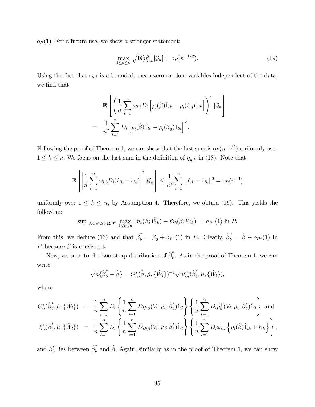$o_P(1)$ . For a future use, we show a stronger statement:

$$
\max_{1 \le k \le n} \sqrt{\mathbf{E}[\eta_{n,k}^2 | \mathcal{G}_n]} = o_P(n^{-1/2}).
$$
\n(19)

Using the fact that  $\omega_{l,b}$  is a bounded, mean-zero random variables independent of the data, we find that

$$
\mathbf{E}\left[\left(\frac{1}{n}\sum_{l=1}^{n}\omega_{l,b}D_{l}\left[\rho_{l}(\hat{\beta})\hat{1}_{lk}-\rho_{l}(\beta_{0})1_{lk}\right]\right)^{2}|\mathcal{G}_{n}\right]
$$

$$
=\frac{1}{n^{2}}\sum_{l=1}^{n}D_{l}\left[\rho_{l}(\hat{\beta})\hat{1}_{lk}-\rho_{l}(\beta_{0})1_{lk}\right]^{2}.
$$

Following the proof of Theorem 1, we can show that the last sum is  $o_P(n^{-1/2})$  uniformly over  $1 \leq k \leq n$ . We focus on the last sum in the definition of  $\eta_{n,k}$  in (18). Note that

$$
\mathbf{E}\left[\left|\frac{1}{n}\sum_{l=1}^{n}\omega_{l,b}D_{l}(\hat{r}_{lk}-r_{lk})\right|^{2}|\mathcal{G}_{n}\right] \leq \frac{1}{n^{2}}\sum_{l=1}^{n}||\hat{r}_{lk}-r_{lk}||^{2}=o_{P}(n^{-1})
$$

uniformly over  $1 \leq k \leq n$ , by Assumption 4. Therefore, we obtain (19). This yields the following:

$$
\sup_{(\beta,w)\in B\times\mathbf{R}^{d_W}}\max_{1\leq k\leq n}|\hat{m}_b(\beta;\hat{W}_k)-\tilde{m}_b(\beta;W_k)|=o_{P^*}(1) \text{ in } P.
$$

From this, we deduce (16) and that  $\hat{\beta}^*_b = \beta_0 + o_{P^*}(1)$  in P. Clearly,  $\hat{\beta}^*_b = \hat{\beta} + o_{P^*}(1)$  in *P*, because  $\hat{\beta}$  is consistent.

Now, we turn to the bootstrap distribution of  $\hat{\beta}_{b}^{*}$  $\overline{b}$ . As in the proof of Theorem 1, we can write

$$
\sqrt{n}\{\hat{\beta}_b^* - \hat{\beta}\} = G_n^*(\hat{\beta}, \hat{\mu}, \{\hat{W}_l\})^{-1} \sqrt{n} \xi_n^*(\hat{\beta}_b^*, \hat{\mu}, \{\hat{W}_l\}),
$$

where

$$
G_n^*(\hat{\beta}_b^*, \hat{\mu}, \{\hat{W}_l\}) = \frac{1}{n} \sum_{l=1}^n D_l \left\{ \frac{1}{n} \sum_{i=1}^n D_i \rho_{\beta}(V_i, \hat{\mu}_i; \hat{\beta}_b^*) \hat{1}_{il} \right\} \left\{ \frac{1}{n} \sum_{i=1}^n D_i \rho_{\beta}^{\top} (V_i, \hat{\mu}_i; \bar{\beta}_b^*) \hat{1}_{il} \right\} \text{ and}
$$
  

$$
\xi_n^*(\hat{\beta}_b^*, \hat{\mu}, \{\hat{W}_l\}) = \frac{1}{n} \sum_{l=1}^n D_l \left\{ \frac{1}{n} \sum_{i=1}^n D_i \rho_{\beta}(V_i, \hat{\mu}_i; \hat{\beta}_b^*) \hat{1}_{il} \right\} \left\{ \frac{1}{n} \sum_{i=1}^n D_i \omega_{i,b} \left\{ \rho_i(\hat{\beta}) \hat{1}_{ik} + \hat{r}_{ik} \right\} \right\},
$$

and  $\bar{\beta}_b^*$  lies between  $\hat{\beta}_b^*$  and  $\hat{\beta}$ . Again, similarly as in the proof of Theorem 1, we can show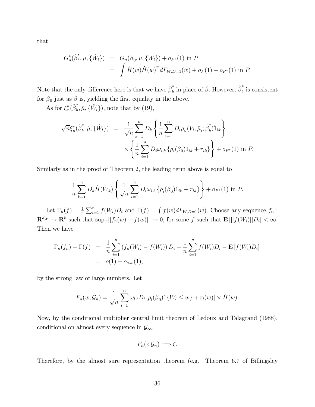that

$$
G_n^*(\hat{\beta}_b^*, \hat{\mu}, \{\hat{W}_l\}) = G_n(\beta_0, \mu, \{W_l\}) + o_{P^*}(1) \text{ in } P
$$
  
= 
$$
\int \dot{H}(w) \dot{H}(w)^\top dF_{W,D=1}(w) + o_P(1) + o_{P^*}(1) \text{ in } P.
$$

Note that the only difference here is that we have  $\hat{\beta}_{b}^{*}$  $\hat{b}_b^*$  in place of  $\hat{\beta}$ . However,  $\hat{\beta}_b^*$  $\frac{1}{b}$  is consistent for  $\beta_0$  just as  $\hat{\beta}$  is, yielding the first equality in the above.

As for  $\xi_n^*(\hat{\beta}_b^*)$  $\hat{\mu}, \hat{\mu}, {\hat{W}}_l$ , note that by (19),

$$
\sqrt{n}\xi_n^*(\hat{\beta}_b^*, \hat{\mu}, \{\hat{W}_l\}) = \frac{1}{\sqrt{n}} \sum_{k=1}^n D_k \left\{ \frac{1}{n} \sum_{i=1}^n D_i \rho_\beta (V_i, \hat{\mu}_i; \hat{\beta}_b^*) \hat{1}_{ik} \right\} \times \left\{ \frac{1}{n} \sum_{i=1}^n D_i \omega_{i,b} \{ \rho_i(\beta_0) 1_{ik} + r_{ik} \} \right\} + o_{P^*}(1) \text{ in } P.
$$

Similarly as in the proof of Theorem 2, the leading term above is equal to

$$
\frac{1}{n} \sum_{k=1}^{n} D_k \dot{H}(W_k) \left\{ \frac{1}{\sqrt{n}} \sum_{i=1}^{n} D_i \omega_{i,b} \left\{ \rho_i(\beta_0) 1_{ik} + r_{ik} \right\} \right\} + o_{P^*}(1) \text{ in } P.
$$

Let  $\Gamma_n(f) = \frac{1}{n} \sum_{i=1}^n f(W_i) D_i$  and  $\Gamma(f) = \int f(w) dF_{W,D=1}(w)$ . Choose any sequence  $f_n$ :  $\mathbf{R}^{dw} \to \mathbf{R}^k$  such that  $\sup_w ||f_n(w) - f(w)|| \to 0$ , for some f such that  $\mathbf{E}[||f(W_i)||D_i] < \infty$ . Then we have

$$
\Gamma_n(f_n) - \Gamma(f) = \frac{1}{n} \sum_{i=1}^n (f_n(W_i) - f(W_i)) D_i + \frac{1}{n} \sum_{i=1}^n f(W_i) D_i - \mathbf{E} [f(W_i) D_i]
$$
  
=  $o(1) + o_{a.s.}(1),$ 

by the strong law of large numbers. Let

$$
F_n(w; \mathcal{G}_n) = \frac{1}{\sqrt{n}} \sum_{l=1}^n \omega_{l,b} D_l \left[ \rho_l(\beta_0) 1\{W_l \le w\} + r_l(w) \right] \times \dot{H}(w).
$$

Now, by the conditional multiplier central limit theorem of Ledoux and Talagrand (1988), conditional on almost every sequence in  $\mathcal{G}_{\infty}$ ,

$$
F_n(\cdot; \mathcal{G}_n) \Longrightarrow \zeta.
$$

Therefore, by the almost sure representation theorem (e.g. Theorem 6.7 of Billingsley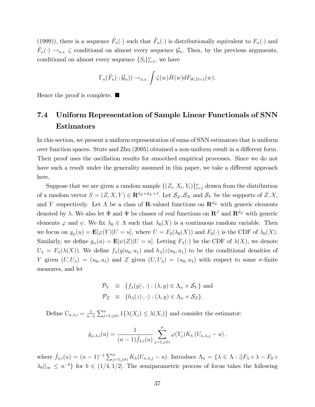(1999)), there is a sequence  $\tilde{F}_n(\cdot)$  such that  $\tilde{F}_n(\cdot)$  is distributionally equivalent to  $F_n(\cdot)$  and  $\tilde{F}_n(\cdot) \to_{a.s.} \zeta$  conditional on almost every sequence  $\mathcal{G}_n$ . Then, by the previous arguments, conditional on almost every sequence  $\{S_l\}_{l=1}^n$ , we have

$$
\Gamma_n(\tilde{F}_n(\cdot; \mathcal{G}_n)) \to_{a.s.} \int \zeta(w) \dot{H}(w) dF_{W,D=1}(w).
$$

Hence the proof is complete.  $\blacksquare$ 

## 7.4 Uniform Representation of Sample Linear Functionals of SNN Estimators

In this section, we present a uniform representation of sums of SNN estimators that is uniform over function spaces. Stute and Zhu (2005) obtained a non-uniform result in a different form. Their proof uses the oscillation results for smoothed empirical processes. Since we do not have such a result under the generality assumed in this paper, we take a different approach here.

Suppose that we are given a random sample  $\{(Z_i, X_i, Y_i)\}_{i=1}^n$  drawn from the distribution of a random vector  $S = (Z, X, Y) \in \mathbf{R}^{d_Z + d_X + J}$ . Let  $\mathcal{S}_Z, \mathcal{S}_X$  and  $\mathcal{S}_Y$  be the supports of  $Z, X$ , and Y respectively. Let  $\Lambda$  be a class of **R**-valued functions on  $\mathbb{R}^{d_X}$  with generic elements denoted by  $\lambda$ . We also let  $\Phi$  and  $\Psi$  be classes of real functions on  $\mathbb{R}^J$  and  $\mathbb{R}^{d_Z}$  with generic elements  $\varphi$  and  $\psi$ . We fix  $\lambda_0 \in \Lambda$  such that  $\lambda_0(X)$  is a continuous random variable. Then we focus on  $g_{\varphi}(u) = \mathbf{E}[\varphi(Y)|U=u]$ , where  $U = F_0(\lambda_0(X))$  and  $F_0(\cdot)$  is the CDF of  $\lambda_0(X)$ . Similarly, we define  $g_{\psi}(u) = \mathbf{E}[\psi(Z)|U=u]$ . Letting  $F_{\lambda}(\cdot)$  be the CDF of  $\lambda(X)$ , we denote  $U_{\lambda} = F_{\lambda}(\lambda(X))$ . We define  $f_{\lambda}(y|u_0, u_1)$  and  $h_{\lambda}(z|u_0, u_1)$  to be the conditional densities of Y given  $(U, U_\lambda) = (u_0, u_1)$  and Z given  $(U, U_\lambda) = (u_0, u_1)$  with respect to some  $\sigma$ -finite measures, and let

$$
\mathcal{P}_Y \equiv \{ f_\lambda(y|\cdot, \cdot) : (\lambda, y) \in \Lambda_n \times \mathcal{S}_Y \} \text{ and}
$$
  

$$
\mathcal{P}_Z \equiv \{ h_\lambda(z|\cdot, \cdot) : (\lambda, y) \in \Lambda_n \times \mathcal{S}_Z \}.
$$

Define  $U_{n,\lambda,i} = \frac{1}{n-1}$  $n-1$  $\sum_{j=1,j\neq i}^{n} 1\{\lambda(X_j) \leq \lambda(X_i)\}\$ and consider the estimator:

$$
\hat{g}_{\varphi,\lambda,i}(u) = \frac{1}{(n-1)\hat{f}_{\lambda,i}(u)} \sum_{j=1,j\neq i}^n \varphi(Y_j) K_h(U_{n,\lambda,j}-u) ,
$$

where  $\hat{f}_{\lambda,i}(u) = (n-1)^{-1} \sum_{j=1,j\neq i}^{n} K_h(U_{n,\lambda,j} - u)$ . Introduce  $\Lambda_n = \{\lambda \in \Lambda : ||F_\lambda \circ \lambda - F_0 \circ$  $|\lambda_0||_{\infty} \leq n^{-b}$  for  $b \in (1/4, 1/2]$ . The semiparametric process of focus takes the following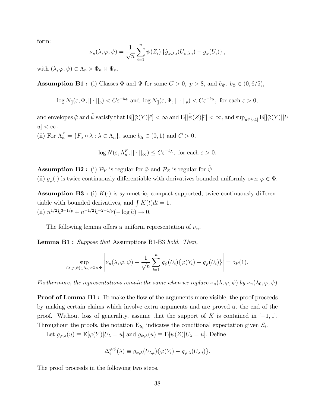form:

$$
\nu_n(\lambda,\varphi,\psi) = \frac{1}{\sqrt{n}} \sum_{i=1}^n \psi(Z_i) \left\{ \hat{g}_{\varphi,\lambda,i}(U_{n,\lambda,i}) - g_{\varphi}(U_i) \right\},\,
$$

with  $(\lambda, \varphi, \psi) \in \Lambda_n \times \Phi_n \times \Psi_n$ .

**Assumption B1**: (i) Classes  $\Phi$  and  $\Psi$  for some  $C > 0$ ,  $p > 8$ , and  $b_{\Psi}$ ,  $b_{\Phi} \in (0, 6/5)$ ,

 $\log N_{\mathbb{I}}(\varepsilon, \Phi, ||\cdot||_p) < C\varepsilon^{-b_{\Phi}}$  and  $\log N_{\mathbb{I}}(\varepsilon, \Psi, ||\cdot||_p) < C\varepsilon^{-b_{\Psi}},$  for each  $\varepsilon > 0$ ,

 $\text{and envelopes}~\widetilde{\varphi}~\text{and}~\widetilde{\psi}~\text{satisfy that}~\mathbf{E}[|\widetilde{\varphi}(Y)|^p]<\infty~\text{and}~\mathbf{E}[|\widetilde{\psi}(Z)|^p]<\infty,\text{and}~\sup_{u\in[0,1]}\mathbf{E}[|\widetilde{\varphi}(Y)||U=0.$  $|u| < \infty$ . (ii) For  $\Lambda_n^F = \{ F_\lambda \circ \lambda : \lambda \in \Lambda_n \}$ , some  $b_\Lambda \in (0,1)$  and  $C > 0$ ,

$$
\log N(\varepsilon, \Lambda_n^F, ||\cdot||_{\infty}) \le C\varepsilon^{-b_{\Lambda}}, \text{ for each } \varepsilon > 0.
$$

**Assumption B2**: (i)  $\mathcal{P}_Y$  is regular for  $\tilde{\varphi}$  and  $\mathcal{P}_Z$  is regular for  $\tilde{\psi}$ .

(ii)  $g_{\varphi}(\cdot)$  is twice continuously differentiable with derivatives bounded uniformly over  $\varphi \in \Phi$ .

**Assumption B3**: (i)  $K(\cdot)$  is symmetric, compact supported, twice continuously differentiable with bounded derivatives, and  $\int K(t)dt = 1$ . (ii)  $n^{1/2}h^{3-1/p} + n^{-1/2}h^{-2-1/p}(-\log h) \to 0.$ 

The following lemma offers a uniform representation of  $\nu_n$ .

Lemma B1 : Suppose that Assumptions B1-B3 hold. Then,

$$
\sup_{(\lambda,\varphi,\psi)\in\Lambda_n\times\Phi\times\Psi} \left| \nu_n(\lambda,\varphi,\psi) - \frac{1}{\sqrt{n}} \sum_{i=1}^n g_\psi(U_i) \{ \varphi(Y_i) - g_\varphi(U_i) \} \right| = o_P(1).
$$

Furthermore, the representations remain the same when we replace  $\nu_n(\lambda, \varphi, \psi)$  by  $\nu_n(\lambda_0, \varphi, \psi)$ .

**Proof of Lemma B1**: To make the flow of the arguments more visible, the proof proceeds by making certain claims which involve extra arguments and are proved at the end of the proof. Without loss of generality, assume that the support of K is contained in  $[-1, 1]$ . Throughout the proofs, the notation  $\mathbf{E}_{S_i}$  indicates the conditional expectation given  $S_i$ .

Let  $g_{\varphi,\lambda}(u) \equiv \mathbf{E}[\varphi(Y)|U_{\lambda} = u]$  and  $g_{\psi,\lambda}(u) \equiv \mathbf{E}[\psi(Z)|U_{\lambda} = u]$ . Define

$$
\Delta_i^{\varphi,\psi}(\lambda) \equiv g_{\psi,\lambda}(U_{\lambda,i}) \{ \varphi(Y_i) - g_{\varphi,\lambda}(U_{\lambda,i}) \}.
$$

The proof proceeds in the following two steps.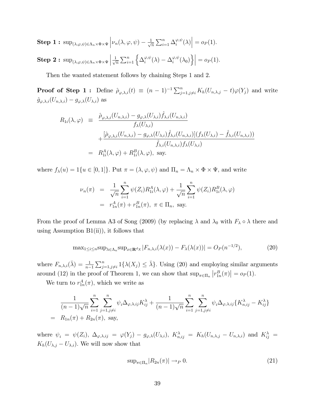**Step 1:** 
$$
\sup_{(\lambda,\varphi,\psi)\in\Lambda_n\times\Phi\times\Psi} \left| \nu_n(\lambda,\varphi,\psi) - \frac{1}{\sqrt{n}} \sum_{i=1}^n \Delta_i^{\varphi,\psi}(\lambda) \right| = o_P(1).
$$

Step 2: 
$$
\sup_{(\lambda,\varphi,\psi)\in\Lambda_n\times\Phi\times\Psi}\left|\frac{1}{\sqrt{n}}\sum_{i=1}^n\left\{\Delta_i^{\varphi,\psi}(\lambda)-\Delta_i^{\varphi,\psi}(\lambda_0)\right\}\right|=o_P(1).
$$

Then the wanted statement follows by chaining Steps 1 and 2.

**Proof of Step 1:** Define  $\hat{\rho}_{\varphi,\lambda,i}(t) \equiv (n-1)^{-1} \sum_{j=1,j\neq i}^{n} K_h(U_{n,\lambda,j}-t) \varphi(Y_j)$  and write  $\hat{g}_{\varphi,\lambda,i}(U_{n,\lambda,i}) - g_{\varphi,\lambda}(U_{\lambda,i})$  as

$$
R_{1i}(\lambda, \varphi) = \frac{\hat{\rho}_{\varphi, \lambda, i}(U_{n, \lambda, i}) - g_{\varphi, \lambda}(U_{\lambda, i})\hat{f}_{\lambda, i}(U_{n, \lambda, i})}{f_{\lambda}(U_{\lambda, i})} + \frac{[\hat{\rho}_{\varphi, \lambda, i}(U_{n, \lambda, i}) - g_{\varphi, \lambda}(U_{\lambda, i})\hat{f}_{\lambda, i}(U_{n, \lambda, i})](f_{\lambda}(U_{\lambda, i}) - \hat{f}_{\lambda, i}(U_{n, \lambda, i}))}{\hat{f}_{\lambda, i}(U_{n, \lambda, i})f_{\lambda}(U_{\lambda, i})} = R_{1i}^A(\lambda, \varphi) + R_{1i}^B(\lambda, \varphi), \text{ say.}
$$

where  $f_{\lambda}(u) = 1\{u \in [0, 1]\}\.$  Put  $\pi = (\lambda, \varphi, \psi)$  and  $\Pi_n = \Lambda_n \times \Phi \times \Psi$ , and write

$$
\nu_n(\pi) = \frac{1}{\sqrt{n}} \sum_{i=1}^n \psi(Z_i) R_{1i}^A(\lambda, \varphi) + \frac{1}{\sqrt{n}} \sum_{i=1}^n \psi(Z_i) R_{1i}^B(\lambda, \varphi)
$$
  
=  $r_{1n}^A(\pi) + r_{1n}^B(\pi), \ \pi \in \Pi_n$ , say.

From the proof of Lemma A3 of Song (2009) (by replacing  $\lambda$  and  $\lambda_0$  with  $F_\lambda \circ \lambda$  there and using Assumption  $B1(ii)$ , it follows that

$$
\max_{1 \leq i \leq n} \sup_{\lambda \in \Lambda_n} \sup_{x \in \mathbf{R}^d} |F_{n,\lambda,i}(\lambda(x)) - F_{\lambda}(\lambda(x))| = O_P(n^{-1/2}),\tag{20}
$$

where  $F_{n,\lambda,i}(\bar{\lambda}) = \frac{1}{n-1}$  $\sum_{j=1,j\neq i}^{n} 1\{\lambda(X_j) \leq \bar{\lambda}\}\.$  Using (20) and employing similar arguments around (12) in the proof of Theorem 1, we can show that  $\sup_{\pi \in \Pi_n} |r_{1n}^B(\pi)| = o_P(1)$ .

We turn to  $r_{1n}^A(\pi)$ , which we write as

$$
\frac{1}{(n-1)\sqrt{n}} \sum_{i=1}^{n} \sum_{j=1, j \neq i}^{n} \psi_i \Delta_{\varphi, \lambda, ij} K_{ij}^{\lambda} + \frac{1}{(n-1)\sqrt{n}} \sum_{i=1}^{n} \sum_{j=1, j \neq i}^{n} \psi_i \Delta_{\varphi, \lambda, ij} \{ K_{n, ij}^{\lambda} - K_{ij}^{\lambda} \}
$$
\n
$$
= R_{1n}(\pi) + R_{2n}(\pi), \text{ say,}
$$

where  $\psi_i = \psi(Z_i)$ ,  $\Delta_{\varphi,\lambda,ij} = \varphi(Y_j) - g_{\varphi,\lambda}(U_{\lambda,i})$ ,  $K_{n,ij}^{\lambda} = K_h(U_{n,\lambda,j} - U_{n,\lambda,i})$  and  $K_{ij}^{\lambda} =$  $K_h(U_{\lambda,j} - U_{\lambda,i})$ . We will now show that

$$
\sup_{\pi \in \Pi_n} |R_{2n}(\pi)| \to_P 0. \tag{21}
$$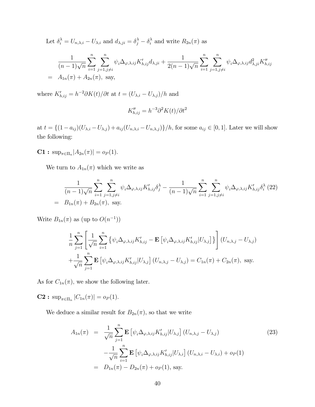Let  $\delta_i^{\lambda} = U_{n,\lambda,i} - U_{\lambda,i}$  and  $d_{\lambda,ji} = \delta_j^{\lambda} - \delta_i^{\lambda}$  and write  $R_{2n}(\pi)$  as

$$
\frac{1}{(n-1)\sqrt{n}} \sum_{i=1}^{n} \sum_{j=1, j \neq i}^{n} \psi_i \Delta_{\varphi, \lambda, ij} K'_{h, ij} d_{\lambda, ji} + \frac{1}{2(n-1)\sqrt{n}} \sum_{i=1}^{n} \sum_{j=1, j \neq i}^{n} \psi_i \Delta_{\varphi, \lambda, ij} d^2_{\lambda, ji} K''_{h, ij}
$$
\n
$$
= A_{1n}(\pi) + A_{2n}(\pi), \text{ say,}
$$

where  $K'_{h,ij} = h^{-2}\partial K(t)/\partial t$  at  $t = (U_{\lambda,i} - U_{\lambda,j})/h$  and

$$
K''_{h,ij} = h^{-3} \partial^2 K(t) / \partial t^2
$$

at  $t = \{(1 - a_{ij})(U_{\lambda,i} - U_{\lambda,j}) + a_{ij}(U_{n,\lambda,i} - U_{n,\lambda,j})\}/h$ , for some  $a_{ij} \in [0, 1]$ . Later we will show the following:

**C1**:  $\sup_{\pi \in \Pi_n} |A_{2n}(\pi)| = o_P(1)$ .

We turn to  $A_{1n}(\pi)$  which we write as

$$
\frac{1}{(n-1)\sqrt{n}} \sum_{i=1}^{n} \sum_{j=1, j \neq i}^{n} \psi_i \Delta_{\varphi, \lambda, ij} K'_{h, ij} \delta_j^{\lambda} - \frac{1}{(n-1)\sqrt{n}} \sum_{i=1}^{n} \sum_{j=1, j \neq i}^{n} \psi_i \Delta_{\varphi, \lambda, ij} K'_{h, ij} \delta_i^{\lambda} (22)
$$
\n
$$
= B_{1n}(\pi) + B_{2n}(\pi), \text{ say.}
$$

Write  $B_{1n}(\pi)$  as (up to  $O(n^{-1})$ )

$$
\frac{1}{n}\sum_{j=1}^{n}\left[\frac{1}{\sqrt{n}}\sum_{i=1}^{n}\left\{\psi_{i}\Delta_{\varphi,\lambda,ij}K'_{h,ij}-\mathbf{E}\left[\psi_{i}\Delta_{\varphi,\lambda,ij}K'_{h,ij}|U_{\lambda,j}\right]\right\}\right](U_{n,\lambda,j}-U_{\lambda,j})
$$

$$
+\frac{1}{\sqrt{n}}\sum_{j=1}^{n}\mathbf{E}\left[\psi_{i}\Delta_{\varphi,\lambda,ij}K'_{h,ij}|U_{\lambda,j}\right](U_{n,\lambda,j}-U_{\lambda,j})=C_{1n}(\pi)+C_{2n}(\pi), \text{ say.}
$$

As for  $C_{1n}(\pi)$ , we show the following later.

**C2**:  $\sup_{\pi \in \Pi_n} |C_{1n}(\pi)| = o_P(1).$ 

We deduce a similar result for  $B_{2n}(\pi)$ , so that we write

$$
A_{1n}(\pi) = \frac{1}{\sqrt{n}} \sum_{j=1}^{n} \mathbf{E} \left[ \psi_i \Delta_{\varphi, \lambda, ij} K'_{h, ij} | U_{\lambda, j} \right] (U_{n, \lambda, j} - U_{\lambda, j})
$$
\n
$$
- \frac{1}{\sqrt{n}} \sum_{i=1}^{n} \mathbf{E} \left[ \psi_i \Delta_{\varphi, \lambda, ij} K'_{h, ij} | U_{\lambda, i} \right] (U_{n, \lambda, i} - U_{\lambda, i}) + o_P(1)
$$
\n
$$
= D_{1n}(\pi) - D_{2n}(\pi) + o_P(1), \text{ say.}
$$
\n(23)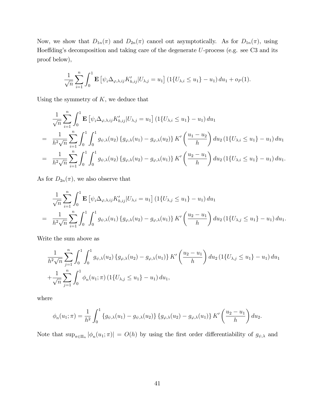Now, we show that  $D_{1n}(\pi)$  and  $D_{2n}(\pi)$  cancel out asymptotically. As for  $D_{1n}(\pi)$ , using Hoeffding's decomposition and taking care of the degenerate  $U$ -process (e.g. see C3 and its proof below),

$$
\frac{1}{\sqrt{n}} \sum_{i=1}^{n} \int_{0}^{1} \mathbf{E} \left[ \psi_{i} \Delta_{\varphi, \lambda, ij} K'_{h, ij} | U_{\lambda, j} = u_{1} \right] (1 \{ U_{\lambda, i} \leq u_{1} \} - u_{1}) du_{1} + o_{P}(1).
$$

Using the symmetry of  $K$ , we deduce that

$$
\frac{1}{\sqrt{n}} \sum_{i=1}^{n} \int_{0}^{1} \mathbf{E} \left[ \psi_{i} \Delta_{\varphi, \lambda, i j} K'_{h, i j} | U_{\lambda, j} = u_{1} \right] (1 \{ U_{\lambda, i} \le u_{1} \} - u_{1}) du_{1}
$$
\n
$$
= \frac{1}{h^{2} \sqrt{n}} \sum_{i=1}^{n} \int_{0}^{1} \int_{0}^{1} g_{\psi, \lambda}(u_{2}) \{ g_{\varphi, \lambda}(u_{1}) - g_{\varphi, \lambda}(u_{2}) \} K' \left( \frac{u_{1} - u_{2}}{h} \right) du_{2} (1 \{ U_{\lambda, i} \le u_{1} \} - u_{1}) du_{1}
$$
\n
$$
= \frac{1}{h^{2} \sqrt{n}} \sum_{i=1}^{n} \int_{0}^{1} \int_{0}^{1} g_{\psi, \lambda}(u_{2}) \{ g_{\varphi, \lambda}(u_{2}) - g_{\varphi, \lambda}(u_{1}) \} K' \left( \frac{u_{2} - u_{1}}{h} \right) du_{2} (1 \{ U_{\lambda, i} \le u_{1} \} - u_{1}) du_{1}.
$$

As for  $D_{2n}(\pi)$ , we also observe that

$$
\frac{1}{\sqrt{n}} \sum_{i=1}^{n} \int_{0}^{1} \mathbf{E} \left[ \psi_{i} \Delta_{\varphi, \lambda, i j} K'_{h, i j} | U_{\lambda, i} = u_{1} \right] (1 \{ U_{\lambda, j} \le u_{1} \} - u_{1}) du_{1}
$$
\n
$$
= \frac{1}{h^{2} \sqrt{n}} \sum_{i=1}^{n} \int_{0}^{1} \int_{0}^{1} g_{\psi, \lambda}(u_{1}) \{ g_{\varphi, \lambda}(u_{2}) - g_{\varphi, \lambda}(u_{1}) \} K' \left( \frac{u_{2} - u_{1}}{h} \right) du_{2} (1 \{ U_{\lambda, j} \le u_{1} \} - u_{1}) du_{1}.
$$

Write the sum above as

$$
\frac{1}{h^2 \sqrt{n}} \sum_{j=1}^n \int_0^1 \int_0^1 g_{\psi,\lambda}(u_2) \{g_{\varphi,\lambda}(u_2) - g_{\varphi,\lambda}(u_1)\} K'\left(\frac{u_2 - u_1}{h}\right) du_2 \left(1 \{U_{\lambda,j} \le u_1\} - u_1\right) du_1
$$
  
+ 
$$
\frac{1}{\sqrt{n}} \sum_{j=1}^n \int_0^1 \phi_n(u_1; \pi) \left(1 \{U_{\lambda,j} \le u_1\} - u_1\right) du_1,
$$

where

$$
\phi_n(u_1; \pi) = \frac{1}{h^2} \int_0^1 \{g_{\psi,\lambda}(u_1) - g_{\psi,\lambda}(u_2)\} \{g_{\varphi,\lambda}(u_2) - g_{\varphi,\lambda}(u_1)\} K' \left(\frac{u_2 - u_1}{h}\right) du_2.
$$

Note that  $\sup_{\pi \in \Pi_n} |\phi_n(u_1; \pi)| = O(h)$  by using the first order differentiability of  $g_{\psi, \lambda}$  and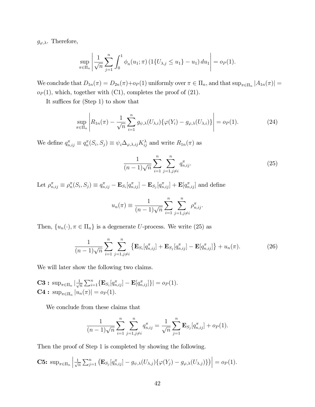$g_{\varphi,\lambda}$ . Therefore,

$$
\sup_{\pi \in \Pi_n} \left| \frac{1}{\sqrt{n}} \sum_{j=1}^n \int_0^1 \phi_n(u_1; \pi) \left( 1\{U_{\lambda,j} \le u_1\} - u_1 \right) du_1 \right| = o_P(1).
$$

We conclude that  $D_{1n}(\pi) = D_{2n}(\pi) + o_P(1)$  uniformly over  $\pi \in \Pi_n$ , and that  $\sup_{\pi \in \Pi_n} |A_{1n}(\pi)| =$  $o_P(1)$ , which, together with (C1), completes the proof of (21).

It suffices for  $(Stop 1)$  to show that

$$
\sup_{\pi \in \Pi_n} \left| R_{1n}(\pi) - \frac{1}{\sqrt{n}} \sum_{i=1}^n g_{\psi,\lambda}(U_{\lambda,i}) \{ \varphi(Y_i) - g_{\varphi,\lambda}(U_{\lambda,i}) \} \right| = o_P(1).
$$
 (24)

We define  $q_{n,ij}^{\pi} \equiv q_n^{\pi}(S_i, S_j) \equiv \psi_i \Delta_{\varphi, \lambda, ij} K_{ij}^{\lambda}$  and write  $R_{1n}(\pi)$  as

$$
\frac{1}{(n-1)\sqrt{n}}\sum_{i=1}^{n}\sum_{j=1,j\neq i}^{n}q_{n,ij}^{\pi}.
$$
 (25)

Let  $\rho_{n,ij}^{\pi} \equiv \rho_n^{\pi}(S_i, S_j) \equiv q_{n,ij}^{\pi} - \mathbf{E}_{S_i}[q_{n,ij}^{\pi}] - \mathbf{E}_{S_j}[q_{n,ij}^{\pi}] + \mathbf{E}[q_{n,ij}^{\pi}]$  and define

$$
u_n(\pi) \equiv \frac{1}{(n-1)\sqrt{n}} \sum_{i=1}^n \sum_{j=1, j \neq i}^n \rho_{n, ij}^{\pi}.
$$

Then,  $\{u_n(\cdot), \pi \in \Pi_n\}$  is a degenerate U-process. We write (25) as

$$
\frac{1}{(n-1)\sqrt{n}}\sum_{i=1}^{n}\sum_{j=1,j\neq i}^{n}\left\{\mathbf{E}_{S_{i}}[q_{n,ij}^{\pi}]+\mathbf{E}_{S_{j}}[q_{n,ij}^{\pi}]-\mathbf{E}[q_{n,ij}^{\pi}]\right\}+u_{n}(\pi).
$$
\n(26)

We will later show the following two claims.

$$
\mathbf{C3}: \sup_{\pi \in \Pi_n} |\frac{1}{\sqrt{n}} \sum_{i=1}^n \{ \mathbf{E}_{S_i} [q_{n,ij}^{\pi}] - \mathbf{E} [q_{n,ij}^{\pi}] \}| = o_P(1).
$$
  

$$
\mathbf{C4}: \sup_{\pi \in \Pi_n} |u_n(\pi)| = o_P(1).
$$

We conclude from these claims that

$$
\frac{1}{(n-1)\sqrt{n}}\sum_{i=1}^n\sum_{j=1,j\neq i}^n q_{n,ij}^{\pi} = \frac{1}{\sqrt{n}}\sum_{j=1}^n \mathbf{E}_{S_j}[q_{n,ij}^{\pi}] + o_P(1).
$$

Then the proof of Step 1 is completed by showing the following.

**C5:** 
$$
\sup_{\pi \in \Pi_n} \left| \frac{1}{\sqrt{n}} \sum_{j=1}^n \left( \mathbf{E}_{S_j} [q_{n,ij}^{\pi}] - g_{\psi,\lambda}(U_{\lambda,j}) \{ \varphi(Y_j) - g_{\varphi,\lambda}(U_{\lambda,j}) \} \right) \right| = o_P(1).
$$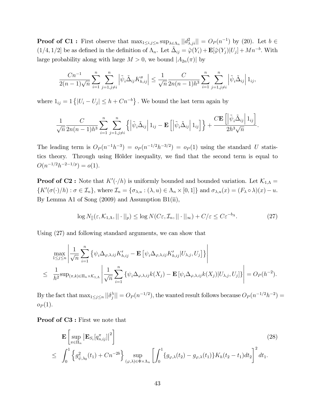**Proof of C1**: First observe that  $\max_{1 \leq i,j \leq n} \sup_{\lambda \in \Lambda_n} ||d_{\lambda,ji}^2|| = O_P(n^{-1})$  by (20). Let  $b \in$  $(1/4, 1/2]$  be as defined in the definition of  $\Lambda_n$ . Let  $\tilde{\Delta}_{ij} = \tilde{\varphi}(Y_i) + \mathbf{E}[\tilde{\varphi}(Y_j)|U_j] + Mn^{-b}$ . With large probability along with large  $M > 0$ , we bound  $|A_{2n}(\pi)|$  by

$$
\frac{Cn^{-1}}{2(n-1)\sqrt{n}}\sum_{i=1}^{n}\sum_{j=1,j\neq i}^{n} \left| \tilde{\psi}_{i} \tilde{\Delta}_{ij} K''_{h,ij} \right| \leq \frac{1}{\sqrt{n}}\frac{C}{2n(n-1)h^{3}}\sum_{i=1}^{n}\sum_{j=1,j\neq i}^{n} \left| \tilde{\psi}_{i} \tilde{\Delta}_{ij} \right| 1_{ij},
$$

where  $1_{ij} = 1$   $\{|U_i - U_j| \leq h + Cn^{-b}\}$ . We bound the last term again by

$$
\frac{1}{\sqrt{n}}\frac{C}{2n(n-1)h^3}\sum_{i=1}^n\sum_{j=1,j\neq i}^n\left\{\left|\tilde{\psi}_i\tilde{\Delta}_{ij}\right|1_{ij}-\mathbf{E}\left[\left|\tilde{\psi}_i\tilde{\Delta}_{ij}\right|1_{ij}\right]\right\}+\frac{C\mathbf{E}\left[\left|\tilde{\psi}_i\tilde{\Delta}_{ij}\right|1_{ij}\right]}{2h^3\sqrt{n}}.
$$

The leading term is  $O_P(n^{-1}h^{-3}) = o_P(n^{-1/2}h^{-3/2}) = o_P(1)$  using the standard U statistics theory. Through using Hölder inequality, we find that the second term is equal to  $O(n^{-1/2}h^{-2-1/p}) = o(1).$ 

**Proof of C2**: Note that  $K'(\cdot/h)$  is uniformly bounded and bounded variation. Let  $\mathcal{K}_{1,\Lambda}$  =  $\{K'(\sigma(\cdot)/h) : \sigma \in \mathcal{I}_n\},\$  where  $\mathcal{I}_n = \{\sigma_{\lambda,u} : (\lambda, u) \in \Lambda_n \times [0,1]\}\$  and  $\sigma_{\lambda,u}(x) = (F_\lambda \circ \lambda)(x) - u.$ By Lemma A1 of Song (2009) and Assumption B1(ii),

$$
\log N_{[]}(\varepsilon, \mathcal{K}_{1,\Lambda}, ||\cdot||_{p}) \le \log N(C\varepsilon, \mathcal{I}_{n}, ||\cdot||_{\infty}) + C/\varepsilon \le C\varepsilon^{-b_{\Lambda}}.
$$
\n(27)

Using (27) and following standard arguments, we can show that

$$
\max_{1 \leq j \leq n} \left| \frac{1}{\sqrt{n}} \sum_{i=1}^n \left\{ \psi_i \Delta_{\varphi, \lambda, ij} K'_{h, ij} - \mathbf{E} \left[ \psi_i \Delta_{\varphi, \lambda, ij} K'_{h, ij} | U_{\lambda, j}, U_j \right] \right\} \right|
$$
  

$$
\leq \frac{1}{h^2} \sup_{(\pi, k) \in \Pi_n \times \mathcal{K}_{1,\Lambda}} \left| \frac{1}{\sqrt{n}} \sum_{i=1}^n \left\{ \psi_i \Delta_{\varphi, \lambda, ij} k(X_j) - \mathbf{E} \left[ \psi_i \Delta_{\varphi, \lambda, ij} k(X_j) | U_{\lambda, j}, U_j \right] \right\} \right| = O_P(h^{-2}).
$$

By the fact that  $\max_{1 \leq j \leq n} ||\delta_j^{\lambda}$  $\mathcal{Q}_P(n^{-1/2})$ , the wanted result follows because  $O_P(n^{-1/2}h^{-2}) =$  $o_P(1)$ .

Proof of  $C3$ : First we note that

$$
\mathbf{E}\left[\sup_{\pi \in \Pi_n} \left| \mathbf{E}_{S_i}[q_{n,ij}^{\pi}] \right|^2 \right] \tag{28}
$$
\n
$$
\leq \int_0^1 \left\{ g_{\tilde{\psi},\lambda_0}^2(t_1) + Cn^{-2b} \right\} \sup_{(\varphi,\lambda) \in \Phi \times \Lambda_n} \left[ \int_0^1 \{ g_{\varphi,\lambda}(t_2) - g_{\varphi,\lambda}(t_1) \} K_h(t_2 - t_1) dt_2 \right]^2 dt_1.
$$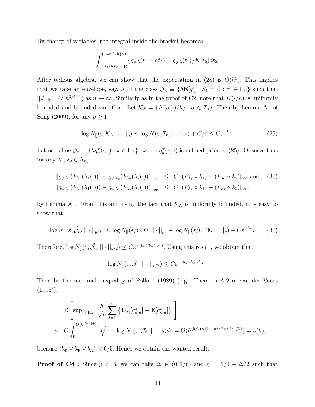By change of variables, the integral inside the bracket becomes

$$
\int_{\{-t_1/h\}\vee(-1)}^{(1-t_1)/h\}\wedge 1} \{g_{\varphi,\lambda}(t_1+ht_2)-g_{\varphi,\lambda}(t_1)\}K(t_2)dt_2.
$$

After tedious algebra, we can show that the expectation in  $(28)$  is  $O(h^3)$ . This implies that we take an envelope, say, J of the class  $\mathcal{J}_n \equiv \{h\mathbf{E}[q_{n,ij}^{\pi}|S_i = \cdot] : \pi \in \Pi_n\}$  such that  $||J||_2 = O(h^{3/2+1})$  as  $n \to \infty$ . Similarly as in the proof of C2, note that  $K(\cdot/h)$  is uniformly bounded and bounded variation. Let  $\mathcal{K}_{A} = \{K(\sigma(\cdot)/h) : \sigma \in \mathcal{I}_{n}\}\.$  Then by Lemma A1 of Song (2009), for any  $p \geq 1$ ,

$$
\log N_{[]}(\varepsilon, \mathcal{K}_{\Lambda}, || \cdot ||_{p}) \le \log N(\varepsilon, \mathcal{I}_{n}, || \cdot ||_{\infty}) + C/\varepsilon \le C\varepsilon^{-b_{\Lambda}}.
$$
\n(29)

Let us define  $\tilde{\mathcal{J}}_n = \{ h q_n^{\pi}(\cdot, \cdot) : \pi \in \Pi_n \},\$  where  $q_n^{\pi}(\cdot, \cdot)$  is defined prior to (25). Observe that for any  $\lambda_1, \lambda_2 \in \Lambda_n$ ,

$$
||g_{\varphi,\lambda_1}(F_{\lambda_1}(\lambda_1(\cdot))) - g_{\varphi,\lambda_2}(F_{\lambda_2}(\lambda_2(\cdot)))||_{\infty} \leq C||(F_{\lambda_1} \circ \lambda_1) - (F_{\lambda_2} \circ \lambda_2)||_{\infty}
$$
 and (30)  

$$
||g_{\psi,\lambda_1}(F_{\lambda_1}(\lambda_1(\cdot))) - g_{\psi,\lambda_2}(F_{\lambda_2}(\lambda_2(\cdot)))||_{\infty} \leq C||(F_{\lambda_1} \circ \lambda_1) - (F_{\lambda_2} \circ \lambda_2)||_{\infty},
$$

by Lemma A1. From this and using the fact that  $\mathcal{K}_{\Lambda}$  is uniformly bounded, it is easy to show that

$$
\log N_{[]}(\varepsilon, \tilde{\mathcal{J}}_n, || \cdot ||_{p/2}) \le \log N_{[]}(\varepsilon/C, \Phi, || \cdot ||_p) + \log N_{[]}(\varepsilon/C, \Psi, || \cdot ||_p) + C\varepsilon^{-b_{\Lambda}}.\tag{31}
$$

Therefore,  $\log N_{\parallel}(\varepsilon, \tilde{\mathcal{J}}_n, || \cdot ||_{p/2}) \leq C \varepsilon^{-(b_{\Phi} \vee b_{\Psi} \vee b_{\Lambda})}$ . Using this result, we obtain that

$$
\log N_{[]}(\varepsilon, \mathcal{J}_n, || \cdot ||_{p/2}) \leq C \varepsilon^{-(b_{\Phi} \vee b_{\Psi} \vee b_{\Lambda})}.
$$

Then by the maximal inequality of Pollard (1989) (e.g. Theorem A.2 of van der Vaart  $(1996)$ ,

$$
\mathbf{E}\left[\sup_{\pi\in\Pi_n}\left|\frac{h}{\sqrt{n}}\sum_{i=1}^n\left\{\mathbf{E}_{S_i}[q_{n,il}^\pi]-\mathbf{E}[q_{n,il}^\pi]\right\}\right|\right]
$$
\n
$$
\leq C\int_0^{O(h^{(3/2)+1})}\sqrt{1+\log N_{[]}(\varepsilon,\mathcal{J}_n,\|\cdot\|_2)}d\varepsilon=O(h^{(5/2)\times\{1-(b_\Phi\vee b_\Psi\vee b_\Lambda)/2\}})=o(h),
$$

because  $(b_\Phi \vee b_\Psi \vee b_\Lambda) < 6/5$ . Hence we obtain the wanted result.

**Proof of C4**: Since  $p > 8$ , we can take  $\Delta \in (0, 1/6)$  and  $\eta = 1/4 + \Delta/2$  such that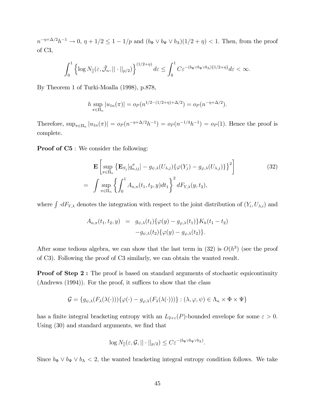$n^{-\eta+\Delta/2}h^{-1}\to 0$ ,  $\eta+1/2\leq 1-1/p$  and  $(b_{\Phi}\vee b_{\Psi}\vee b_{\Lambda})(1/2+\eta)<1$ . Then, from the proof of C3,

$$
\int_0^1 \left\{ \log N_{[]}(\varepsilon, \tilde{\mathcal{J}}_n, ||\cdot||_{p/2}) \right\}^{(1/2+\eta)} d\varepsilon \le \int_0^1 C \varepsilon^{-(b_{\Phi}\vee b_{\Psi}\vee b_{\Lambda})\{1/2+\eta\}} d\varepsilon < \infty.
$$

By Theorem 1 of Turki-Moalla (1998), p.878,

$$
h \sup_{\pi \in \Pi_n} |u_{1n}(\pi)| = o_P(n^{1/2 - (1/2 + \eta) + \Delta/2}) = o_P(n^{-\eta + \Delta/2}).
$$

Therefore,  $\sup_{\pi \in \Pi_n} |u_{1n}(\pi)| = o_P(n^{-\eta + \Delta/2}h^{-1}) = o_P(n^{-1/4}h^{-1}) = o_P(1)$ . Hence the proof is complete.

**Proof of C5**: We consider the following:

$$
\mathbf{E}\left[\sup_{\pi \in \Pi_n} \left\{ \mathbf{E}_{S_j}[q_{n,ij}^{\pi}] - g_{\psi,\lambda}(U_{\lambda,j})\{\varphi(Y_j) - g_{\varphi,\lambda}(U_{\lambda,j})\} \right\}^2 \right]
$$
(32)  
= 
$$
\int \sup_{\pi \in \Pi_n} \left\{ \int_0^1 A_{n,\pi}(t_1, t_2, y) dt_1 \right\}^2 dF_{Y,\lambda}(y, t_2),
$$

where  $\int dF_{Y,\lambda}$  denotes the integration with respect to the joint distribution of  $(Y_i, U_{\lambda,i})$  and

$$
A_{n,\pi}(t_1, t_2, y) = g_{\psi,\lambda}(t_1) \{ \varphi(y) - g_{\varphi,\lambda}(t_1) \} K_h(t_1 - t_2)
$$
  

$$
-g_{\psi,\lambda}(t_2) \{ \varphi(y) - g_{\varphi,\lambda}(t_2) \}.
$$

After some tedious algebra, we can show that the last term in  $(32)$  is  $O(h^3)$  (see the proof of C3). Following the proof of C3 similarly, we can obtain the wanted result.

**Proof of Step 2:** The proof is based on standard arguments of stochastic equicontinuity  $(Andrews (1994))$ . For the proof, it suffices to show that the class

$$
\mathcal{G} = \{g_{\psi,\lambda}(F_{\lambda}(\lambda(\cdot)))\{\varphi(\cdot) - g_{\varphi,\lambda}(F_{\lambda}(\lambda(\cdot)))\} : (\lambda, \varphi, \psi) \in \Lambda_n \times \Phi \times \Psi\}
$$

has a finite integral bracketing entropy with an  $L_{2+\varepsilon}(P)$ -bounded envelope for some  $\varepsilon > 0$ . Using  $(30)$  and standard arguments, we find that

$$
\log N_{[]}(\varepsilon, \mathcal{G}, || \cdot ||_{p/2}) \leq C \varepsilon^{-(b_{\Phi} \vee b_{\Psi} \vee b_{\Lambda})}.
$$

Since  $b_{\Phi} \vee b_{\Psi} \vee b_{\Lambda} < 2$ , the wanted bracketing integral entropy condition follows. We take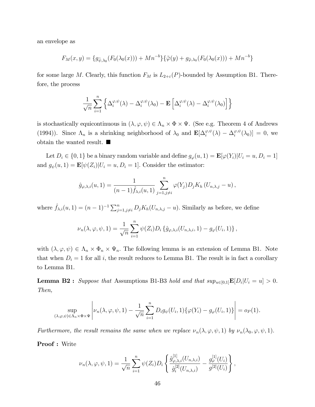an envelope as

$$
F_M(x,y) = \{g_{\tilde{\psi},\lambda_0}(F_0(\lambda_0(x))) + Mn^{-b}\}\{\tilde{\varphi}(y) + g_{\tilde{\varphi},\lambda_0}(F_0(\lambda_0(x))) + Mn^{-b}\}
$$

for some large M. Clearly, this function  $F_M$  is  $L_{2+\varepsilon}(P)$ -bounded by Assumption B1. Therefore, the process

$$
\frac{1}{\sqrt{n}}\sum_{i=1}^n\Big\{\Delta_i^{\varphi,\psi}(\lambda)-\Delta_i^{\varphi,\psi}(\lambda_0)-\mathbf{E}\left[\Delta_i^{\varphi,\psi}(\lambda)-\Delta_i^{\varphi,\psi}(\lambda_0)\right]\Big\}
$$

is stochastically equicontinuous in  $(\lambda, \varphi, \psi) \in \Lambda_n \times \Phi \times \Psi$ . (See e.g. Theorem 4 of Andrews (1994)). Since  $\Lambda_n$  is a shrinking neighborhood of  $\lambda_0$  and  $\mathbf{E}[\Delta_i^{\varphi,\psi}(\lambda) - \Delta_i^{\varphi,\psi}]$  $i^{\varphi,\psi}(\lambda_0)]=0$ , we obtain the wanted result.

Let  $D_i \in \{0,1\}$  be a binary random variable and define  $g_{\varphi}(u, 1) = \mathbf{E}[\varphi(Y_i)|U_i = u, D_i = 1]$ and  $g_{\psi}(u, 1) = \mathbf{E}[\psi(Z_i)|U_i = u, D_i = 1]$ . Consider the estimator:

$$
\hat{g}_{\varphi,\lambda,i}(u,1)=\frac{1}{(n-1)\hat{f}_{\lambda,i}(u,1)}\sum_{j=1,j\neq i}^n\varphi(Y_j)D_jK_h(U_{n,\lambda,j}-u),
$$

where  $\hat{f}_{\lambda,i}(u, 1) = (n-1)^{-1} \sum_{j=1, j\neq i}^{n} D_j K_h(U_{n,\lambda,j} - u)$ . Similarly as before, we define

$$
\nu_n(\lambda,\varphi,\psi,1)=\frac{1}{\sqrt{n}}\sum_{i=1}^n\psi(Z_i)D_i\left\{\hat{g}_{\varphi,\lambda,i}(U_{n,\lambda,i},1)-g_{\varphi}(U_i,1)\right\},\,
$$

with  $(\lambda, \varphi, \psi) \in \Lambda_n \times \Phi_n \times \Psi_n$ . The following lemma is an extension of Lemma B1. Note that when  $D_i = 1$  for all i, the result reduces to Lemma B1. The result is in fact a corollary to Lemma B1.

**Lemma B2**: Suppose that Assumptions B1-B3 hold and that  $sup_{u \in [0,1]} \mathbf{E}[D_i | U_i = u] > 0$ . Then,

$$
\sup_{(\lambda,\varphi,\psi)\in\Lambda_n\times\Phi\times\Psi}\left|\nu_n(\lambda,\varphi,\psi,1)-\frac{1}{\sqrt{n}}\sum_{i=1}^nD_ig_\psi(U_i,1)\{\varphi(Y_i)-g_\varphi(U_i,1)\}\right|=o_P(1).
$$

Furthermore, the result remains the same when we replace  $\nu_n(\lambda, \varphi, \psi, 1)$  by  $\nu_n(\lambda_0, \varphi, \psi, 1)$ .

Proof : Write

$$
\nu_n(\lambda, \varphi, \psi, 1) = \frac{1}{\sqrt{n}} \sum_{i=1}^n \psi(Z_i) D_i \left\{ \frac{\hat{g}^{[1]}_{\varphi, \lambda, i}(U_{n, \lambda, i})}{\hat{g}^{[2]}_i(U_{n, \lambda, i})} - \frac{g^{[1]}_{\varphi}(U_i)}{g^{[2]}(U_i)} \right\},
$$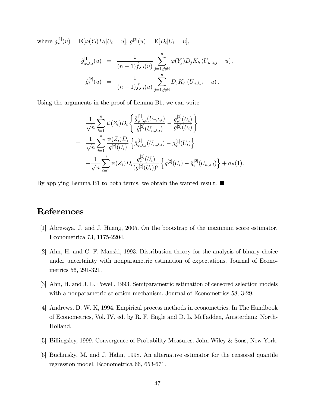where  $g_{\varphi}^{[1]}(u) = \mathbf{E}[\varphi(Y_i)D_i|U_i = u], g^{[2]}(u) = \mathbf{E}[D_i|U_i = u],$ 

$$
\hat{g}_{\varphi,\lambda,i}^{[1]}(u) = \frac{1}{(n-1)\hat{f}_{\lambda,i}(u)} \sum_{j=1,j\neq i}^{n} \varphi(Y_j) D_j K_h (U_{n,\lambda,j} - u),
$$
  

$$
\hat{g}_i^{[2]}(u) = \frac{1}{(n-1)\hat{f}_{\lambda,i}(u)} \sum_{j=1,j\neq i}^{n} D_j K_h (U_{n,\lambda,j} - u).
$$

Using the arguments in the proof of Lemma B1, we can write

$$
\frac{1}{\sqrt{n}} \sum_{i=1}^{n} \psi(Z_i) D_i \left\{ \frac{\hat{g}^{[1]}_{\varphi,\lambda,i}(U_{n,\lambda,i})}{\hat{g}^{[2]}_i(U_{n,\lambda,i})} - \frac{g^{[1]}_{\varphi}(U_i)}{g^{[2]}(U_i)} \right\} \n= \frac{1}{\sqrt{n}} \sum_{i=1}^{n} \frac{\psi(Z_i) D_i}{g^{[2]}(U_i)} \left\{ \hat{g}^{[1]}_{\varphi,\lambda,i}(U_{n,\lambda,i}) - g^{[1]}_{\varphi}(U_i) \right\} \n+ \frac{1}{\sqrt{n}} \sum_{i=1}^{n} \psi(Z_i) D_i \frac{g^{[1]}_{\varphi}(U_i)}{(g^{[2]}(U_i))^2} \left\{ g^{[2]}(U_i) - \hat{g}^{[2]}_i(U_{n,\lambda,i}) \right\} + o_P(1).
$$

By applying Lemma B1 to both terms, we obtain the wanted result.  $\blacksquare$ 

## References

- [1] Abrevaya, J. and J. Huang, 2005. On the bootstrap of the maximum score estimator. Econometrica 73, 1175-2204.
- [2] Ahn, H. and C. F. Manski, 1993. Distribution theory for the analysis of binary choice under uncertainty with nonparametric estimation of expectations. Journal of Econometrics 56, 291-321.
- [3] Ahn, H. and J. L. Powell, 1993. Semiparametric estimation of censored selection models with a nonparametric selection mechanism. Journal of Econometrics 58, 3-29.
- [4] Andrews, D. W. K, 1994. Empirical process methods in econometrics. In The Handbook of Econometrics, Vol. IV, ed. by R. F. Engle and D. L. McFadden, Amsterdam: North-Holland.
- [5] Billingsley, 1999. Convergence of Probability Measures. John Wiley & Sons, New York.
- [6] Buchinsky, M. and J. Hahn, 1998. An alternative estimator for the censored quantile regression model. Econometrica 66, 653-671.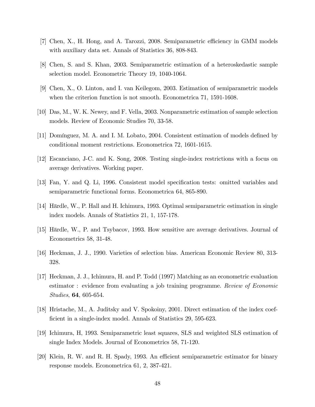- [7] Chen, X., H. Hong, and A. Tarozzi, 2008. Semiparametric efficiency in GMM models with auxiliary data set. Annals of Statistics 36, 808-843.
- [8] Chen, S. and S. Khan, 2003. Semiparametric estimation of a heteroskedastic sample selection model. Econometric Theory 19, 1040-1064.
- [9] Chen, X., O. Linton, and I. van Keilegom, 2003. Estimation of semiparametric models when the criterion function is not smooth. Econometrica 71, 1591-1608.
- [10] Das, M., W. K. Newey, and F. Vella, 2003. Nonparametric estimation of sample selection models. Review of Economic Studies 70, 33-58.
- [11] Domínguez, M. A. and I. M. Lobato, 2004. Consistent estimation of models defined by conditional moment restrictions. Econometrica 72, 1601-1615.
- [12] Escanciano, J-C. and K. Song, 2008. Testing single-index restrictions with a focus on average derivatives. Working paper.
- [13] Fan, Y. and Q. Li, 1996. Consistent model specification tests: omitted variables and semiparametric functional forms. Econometrica 64, 865-890.
- [14] H‰rdle, W., P. Hall and H. Ichimura, 1993. Optimal semiparametric estimation in single index models. Annals of Statistics 21, 1, 157-178.
- [15] H‰rdle, W., P. and Tsybacov, 1993. How sensitive are average derivatives. Journal of Econometrics 58, 31-48.
- [16] Heckman, J. J., 1990. Varieties of selection bias. American Economic Review 80, 313- 328.
- [17] Heckman, J. J., Ichimura, H. and P. Todd (1997) Matching as an econometric evaluation estimator : evidence from evaluating a job training programme. Review of Economic Studies, 64, 605-654.
- [18] Hristache, M., A. Juditsky and V. Spokoiny, 2001. Direct estimation of the index coefficient in a single-index model. Annals of Statistics 29, 595-623.
- [19] Ichimura, H, 1993. Semiparametric least squares, SLS and weighted SLS estimation of single Index Models. Journal of Econometrics 58, 71-120.
- [20] Klein, R. W. and R. H. Spady, 1993. An efficient semiparametric estimator for binary response models. Econometrica 61, 2, 387-421.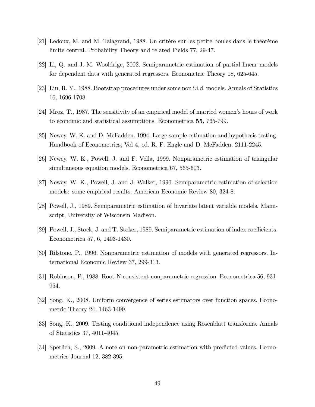- $[21]$  Ledoux, M. and M. Talagrand, 1988. Un critère sur les petite boules dans le théorème limite central. Probability Theory and related Fields 77, 29-47.
- [22] Li, Q. and J. M. Wooldrige, 2002. Semiparametric estimation of partial linear models for dependent data with generated regressors. Econometric Theory 18, 625-645.
- [23] Liu, R. Y., 1988. Bootstrap procedures under some non i.i.d. models. Annals of Statistics 16, 1696-1708.
- [24] Mroz, T., 1987. The sensitivity of an empirical model of married womenís hours of work to economic and statistical assumptions. Econometrica 55, 765-799.
- [25] Newey, W. K. and D. McFadden, 1994. Large sample estimation and hypothesis testing. Handbook of Econometrics, Vol 4, ed. R. F. Engle and D. McFadden, 2111-2245.
- [26] Newey, W. K., Powell, J. and F. Vella, 1999. Nonparametric estimation of triangular simultaneous equation models. Econometrica 67, 565-603.
- [27] Newey, W. K., Powell, J. and J. Walker, 1990. Semiparametric estimation of selection models: some empirical results. American Economic Review 80, 324-8.
- [28] Powell, J., 1989. Semiparametric estimation of bivariate latent variable models. Manuscript, University of Wisconsin Madison.
- [29] Powell, J., Stock, J. and T. Stoker, 1989. Semiparametric estimation of index coefficients. Econometrica 57, 6, 1403-1430.
- [30] Rilstone, P., 1996. Nonparametric estimation of models with generated regressors. International Economic Review 37, 299-313.
- [31] Robinson, P., 1988. Root-N consistent nonparametric regression. Econometrica 56, 931- 954.
- [32] Song, K., 2008. Uniform convergence of series estimators over function spaces. Econometric Theory 24, 1463-1499.
- [33] Song, K., 2009. Testing conditional independence using Rosenblatt transforms. Annals of Statistics 37, 4011-4045.
- [34] Sperlich, S., 2009. A note on non-parametric estimation with predicted values. Econometrics Journal 12, 382-395.